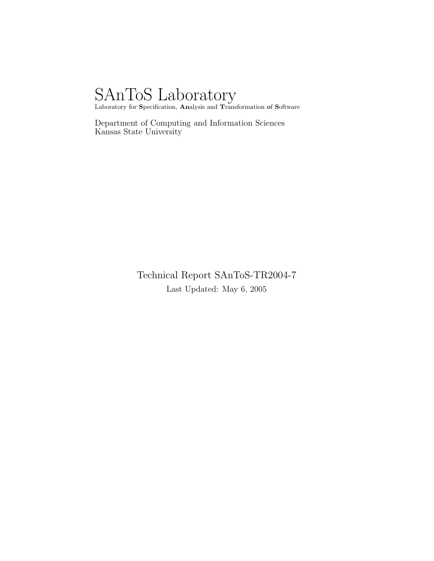# SAnToS Laboratory

Laboratory for Specification, Analysis and Transformation of Software

Department of Computing and Information Sciences Kansas State University

> Technical Report SAnToS-TR2004-7 Last Updated: May 6, 2005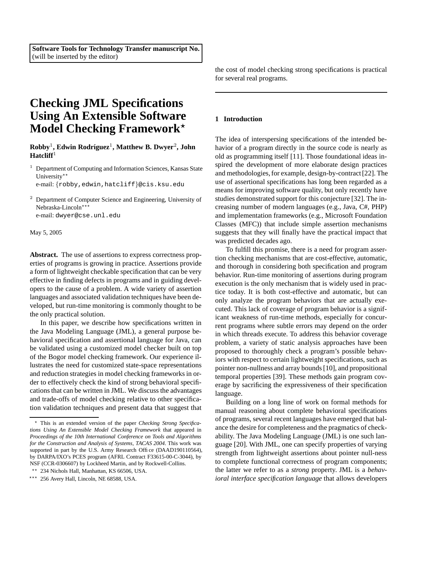**Software Tools for Technology Transfer manuscript No.** (will be inserted by the editor)

# **Checking JML Specifications Using An Extensible Software Model Checking Framework**?

 ${\bf Robby}^1,$   ${\bf Edwin \, Rodriguez}^1,$   ${\bf Matthey \, B. \, Dwyer^2, John}$ **Hatcliff**<sup>1</sup>

<sup>1</sup> Department of Computing and Information Sciences, Kansas State University\*'

e-mail: {robby,edwin,hatcliff}@cis.ksu.edu

<sup>2</sup> Department of Computer Science and Engineering, University of Nebraska-Lincoln\*\*\* e-mail: dwyer@cse.unl.edu

May 5, 2005

**Abstract.** The use of assertions to express correctness properties of programs is growing in practice. Assertions provide a form of lightweight checkable specification that can be very effective in finding defects in programs and in guiding developers to the cause of a problem. A wide variety of assertion languages and associated validation techniques have been developed, but run-time monitoring is commonly thought to be the only practical solution.

In this paper, we describe how specifications written in the Java Modeling Language (JML), a general purpose behavioral specification and assertional language for Java, can be validated using a customized model checker built on top of the Bogor model checking framework. Our experience illustrates the need for customized state-space representations and reduction strategies in model checking frameworks in order to effectively check the kind of strong behavioral specifications that can be written in JML. We discuss the advantages and trade-offs of model checking relative to other specification validation techniques and present data that suggest that

\*\* 234 Nichols Hall, Manhattan, KS 66506, USA.

the cost of model checking strong specifications is practical for several real programs.

# **1 Introduction**

The idea of interspersing specifications of the intended behavior of a program directly in the source code is nearly as old as programming itself [11]. Those foundational ideas inspired the development of more elaborate design practices and methodologies, for example, design-by-contract [22]. The use of assertional specifications has long been regarded as a means for improving software quality, but only recently have studies demonstrated support for this conjecture [32]. The increasing number of modern languages (e.g., Java, C#, PHP) and implementation frameworks (e.g., Microsoft Foundation Classes (MFC)) that include simple assertion mechanisms suggests that they will finally have the practical impact that was predicted decades ago.

To fulfill this promise, there is a need for program assertion checking mechanisms that are cost-effective, automatic, and thorough in considering both specification and program behavior. Run-time monitoring of assertions during program execution is the only mechanism that is widely used in practice today. It is both cost-effective and automatic, but can only analyze the program behaviors that are actually executed. This lack of coverage of program behavior is a significant weakness of run-time methods, especially for concurrent programs where subtle errors may depend on the order in which threads execute. To address this behavior coverage problem, a variety of static analysis approaches have been proposed to thoroughly check a program's possible behaviors with respect to certain lightweight specifications, such as pointer non-nullness and array bounds[10], and propositional temporal properties [39]. These methods gain program coverage by sacrificing the expressiveness of their specification language.

Building on a long line of work on formal methods for manual reasoning about complete behavioral specifications of programs, several recent languages have emerged that balance the desire for completeness and the pragmatics of checkability. The Java Modeling Language (JML) is one such language [20]. With JML, one can specify properties of varying strength from lightweight assertions about pointer null-ness to complete functional correctness of program components; the latter we refer to as a *strong* property. JML is a *behavioral interface specification language* that allows developers

<sup>?</sup> This is an extended version of the paper *Checking Strong Specifications Using An Extensible Model Checking Framework* that appeared in *Proceedings of the 10th International Conference on Tools and Algorithms for the Construction and Analysis of Systems, TACAS 2004*. This work was supported in part by the U.S. Army Research Office (DAAD190110564), by DARPA/IXO's PCES program (AFRL Contract F33615-00-C-3044), by NSF (CCR-0306607) by Lockheed Martin, and by Rockwell-Collins.

<sup>\*\*\* 256</sup> Avery Hall, Lincoln, NE 68588, USA.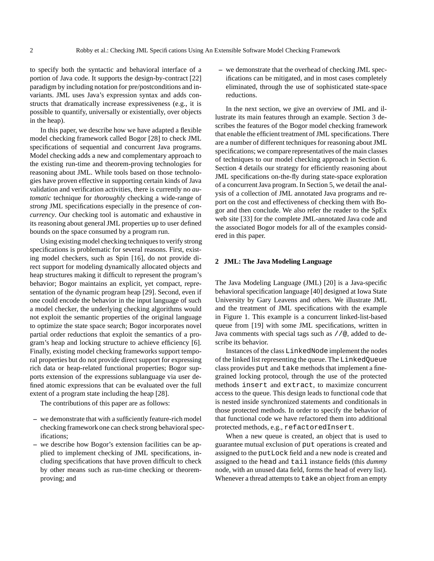to specify both the syntactic and behavioral interface of a portion of Java code. It supports the design-by-contract [22] paradigm by including notation for pre/postconditions and invariants. JML uses Java's expression syntax and adds constructs that dramatically increase expressiveness (e.g., it is possible to quantify, universally or existentially, over objects in the heap).

In this paper, we describe how we have adapted a flexible model checking framework called Bogor [28] to check JML specifications of sequential and concurrent Java programs. Model checking adds a new and complementary approach to the existing run-time and theorem-proving technologies for reasoning about JML. While tools based on those technologies have proven effective in supporting certain kinds of Java validation and verification activities, there is currently no *automatic* technique for *thoroughly* checking a wide-range of *strong* JML specifications especially in the presence of *concurrency*. Our checking tool is automatic and exhaustive in its reasoning about general JML properties up to user defined bounds on the space consumed by a program run.

Using existing model checking techniques to verify strong specifications is problematic for several reasons. First, existing model checkers, such as Spin [16], do not provide direct support for modeling dynamically allocated objects and heap structures making it difficult to represent the program's behavior; Bogor maintains an explicit, yet compact, representation of the dynamic program heap [29]. Second, even if one could encode the behavior in the input language of such a model checker, the underlying checking algorithms would not exploit the semantic properties of the original language to optimize the state space search; Bogor incorporates novel partial order reductions that exploit the semantics of a program's heap and locking structure to achieve efficiency [6]. Finally, existing model checking frameworks support temporal properties but do not provide direct support for expressing rich data or heap-related functional properties; Bogor supports extension of the expressions sublanguage via user defined atomic expressions that can be evaluated over the full extent of a program state including the heap [28].

The contributions of this paper are as follows:

- **–** we demonstrate that with a sufficiently feature-rich model checking framework one can check strong behavioral specifications;
- **–** we describe how Bogor's extension facilities can be applied to implement checking of JML specifications, including specifications that have proven difficult to check by other means such as run-time checking or theoremproving; and

**–** we demonstrate that the overhead of checking JML specifications can be mitigated, and in most cases completely eliminated, through the use of sophisticated state-space reductions.

In the next section, we give an overview of JML and illustrate its main features through an example. Section 3 describes the features of the Bogor model checking framework that enable the efficient treatment of JML specifications. There are a number of different techniques for reasoning about JML specifications; we compare representatives of the main classes of techniques to our model checking approach in Section 6. Section 4 details our strategy for efficiently reasoning about JML specifications on-the-fly during state-space exploration of a concurrentJava program. In Section 5, we detail the analysis of a collection of JML annotated Java programs and report on the cost and effectiveness of checking them with Bogor and then conclude. We also refer the reader to the SpEx web site [33] for the complete JML-annotated Java code and the associated Bogor models for all of the examples considered in this paper.

# **2 JML: The Java Modeling Language**

The Java Modeling Language (JML) [20] is a Java-specific behavioral specification language [40] designed at Iowa State University by Gary Leavens and others. We illustrate JML and the treatment of JML specifications with the example in Figure 1. This example is a concurrent linked-list-based queue from [19] with some JML specifications, written in Java comments with special tags such as //@, added to describe its behavior.

Instances of the class LinkedNode implement the nodes of the linked list representing the queue. The LinkedQueue class provides put and take methods that implement a finegrained locking protocol, through the use of the protected methods insert and extract, to maximize concurrent access to the queue. This design leads to functional code that is nested inside synchronized statements and conditionals in those protected methods. In order to specify the behavior of that functional code we have refactored them into additional protected methods, e.g., refactoredInsert.

When a new queue is created, an object that is used to guarantee mutual exclusion of put operations is created and assigned to the putLock field and a new node is created and assigned to the head and tail instance fields (this *dummy* node, with an unused data field, forms the head of every list). Whenever a thread attempts to take an object from an empty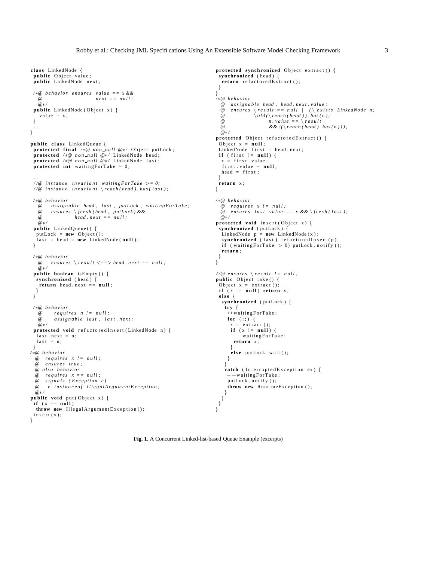Robby et al.: Checking JML Specifications Using An Extensible Software Model Checking Framework 3

```
c l a ss LinkedNode {
 public Object value;
 public LinkedNode next;
 /*@ behavior ensures value == x \& d<br>(a)<br>next == null.
                               n \, ext \, == \, null;@∗/
 public LinkedNode (Object x) {
    value = x:
 }
 . . .
}
p u b l i c c l a ss LinkedQueue {
 protected final /*@ non null @*/ Object putLock;
 p r o t e c t e d /∗@ n o n n u l l @∗/ LinkedNode head ;
 p r o t e c t e d /∗@ n o n n u l l @∗/ LinkedNode l a st ;
 \bf{protected} \bf{int} waiting For Take = 0;
  . . .
  //@ instance invariant waitingForTake > = 0;
 / /@ i n st a n c e i n v a ri a n t \ r each ( head ) . has ( l a st ) ;
 /∗@ b e h a v i o r
    @ assignable head, last, putLock, waitingForTake;<br>@ ensures \fresh(head, putLock)&&
    \emptyset ensures \setminus fresh (head, putLock) &&<br>
\emptyset head next == null
                    \hat{h}ead . next = = \hat{n}ull;
   @∗/
 p u b l i c LinkedQueue ( ) {
  putLock = new Object();\begin{bmatrix} \n1 & 0 & 0 \\
0 & 0 & 0 \\
0 & 0 & 0\n\end{bmatrix} = new LinkedNode (null);
 }
 /∗@ b e h a v i o r
   @ ensures \result <==> head.next == null;
   @∗/
 p u b l i c boolean isEmpty ( ) {
  synchronized (head) {
    \bf return head . next \bf == null ;
  }
 }
 /∗@ b e h a v i o r
   @ r e q u ir e s n ! = n u l l ;
    @ a ssi g n a b l e l a st , l a st . n e x t ;
   @∗/
 protected void refactoredInsert (LinkedNode n) {
   l a st. n e x t = n;
   l a s t = n;
}
/∗@ b e h a v i o r
  @ r e q u ir e s x ! = n u l l ;
  @ e n s u r e s tr u e ;
  @ a ls o b e h a v i o r
  @ r e q u ir e s x == n u l l ;
  @ si g n a ls ( Ex c e p t i o n e )
   @ e instanceof IllegalArgumentException;<br>@*/
\mathbf{public void put(Object x) { }if (x == null)throw new IllegalArgumentException();
 insert(x);\mathbf{protected} synchronized Object extract() {
                                                                                            synchronized (head) {
                                                                                             return refactoredExtract();
                                                                                            }
                                                                                          }
                                                                                          /∗@ b e h a v i o r
                                                                                             @ a ssi g n a b l e head , head . n e x t . v a l u e ;
                                                                                             @ ensures \result == null |\cdot| (\exists LinkedNode n;<br>@ \old(\reach(head)) has(n).
                                                                                             @ \sqrt{old(\text{reach}(\text{head})))} \cdot \text{has}(n);<br>
@ \frac{n \text{ value } -1}{n \text{ result}}\begin{array}{ll}\n\textcircled{a} & n \cdot \text{value} = \sqrt{\text{result}} \\
\textcircled{a} & \& \& \text{if } \forall \text{reach} \text{ (head)}\n\end{array}.\& \& ! \(\setminus \text{reach} \, (\text{head} \,) \, \cdot \, \text{has} \, (\, n \,)) \};
                                                                                             @∗/
                                                                                          protected Object refactoredExtract() {
                                                                                            Object x = \textbf{null};
                                                                                            LinkedNode first = head.next;
                                                                                            if (first != null)x = f i r s t . v a lue;
                                                                                             first \cdot value = null;head = first;}
                                                                                            r e turn x ;
                                                                                          }
                                                                                          /∗@ b e h a v i o r
                                                                                             @ r e q u ir e s x ! = n u l l ;
                                                                                                ensures last value == x \&& \fresh(last);
                                                                                             @∗/
                                                                                          \mathbf{protected} void insert (Object x) {
                                                                                            synchronized ( putLock ) {
                                                                                             LinkedNode p = new LinkedNode (x);
                                                                                              synchronized (last) refactoredInsert(p);<br>if (waitingForTake > 0) putLock.notify();
                                                                                             r e turn ;
                                                                                            }
                                                                                          }
                                                                                          / /@ e n s u r e s \ r e s u l t ! = n u l l ;
                                                                                          public Object take () {
                                                                                            Object x = extract ();
                                                                                            if (x := null) return x;e ls e {
                                                                                             synchronized ( putLock ) {
                                                                                               t r y {
                                                                                                 ++ waiting For Take;
                                                                                                f o r ( ; ; ) {
                                                                                                 x = e x t r a c t ( );
                                                                                                  if (x := null)−−wa i t i n g F o rTa k e ;
                                                                                                   r e turn x ;
                                                                                                  }
                                                                                                  else putLock.wait();
                                                                                                }
                                                                                               }
                                                                                               catch (Interrupted Exception ex) {
                                                                                                 - - waiting For Take;
                                                                                                putLock . notify ();
                                                                                                throw new RuntimeException ();
                                                                                               }
                                                                                             }
                                                                                           }
}
```

```
}
```
**Fig. 1.** A Concurrent Linked-list-based Queue Example (excerpts)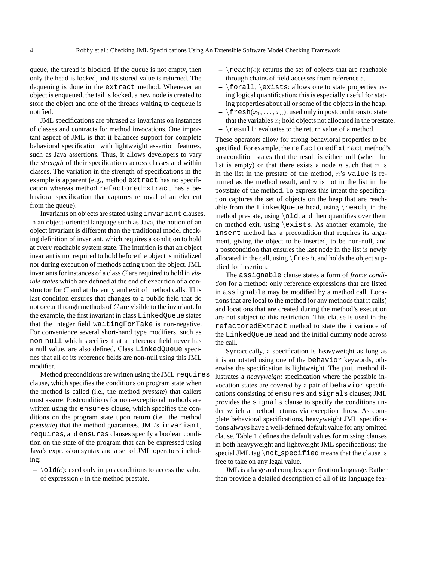queue, the thread is blocked. If the queue is not empty, then only the head is locked, and its stored value is returned. The dequeuing is done in the extract method. Whenever an object is enqueued, the tail is locked, a new node is created to store the object and one of the threads waiting to dequeue is notified.

JML specifications are phrased as invariants on instances of classes and contracts for method invocations. One important aspect of JML is that it balances support for complete behavioral specification with lightweight assertion features, such as Java assertions. Thus, it allows developers to vary the *strength* of their specifications across classes and within classes. The variation in the strength of specifications in the example is apparent (e.g., method extract has no specification whereas method refactoredExtract has a behavioral specification that captures removal of an element from the queue).

Invariants on objects are stated using invariant clauses. In an object-oriented language such as Java, the notion of an object invariant is different than the traditional model checking definition of invariant, which requires a condition to hold at every reachable system state. The intuition is that an object invariant is not required to hold before the object is initialized nor during execution of methods acting upon the object. JML invariants for instances of a class C are required to hold in *visible states* which are defined at the end of execution of a constructor for C and at the entry and exit of method calls. This last condition ensures that changes to a public field that do not occur through methods of C are visible to the invariant. In the example, the first invariant in class LinkedQueue states that the integer field waitingForTake is non-negative. For convenience several short-hand type modifiers, such as non null which specifies that a reference field never has a null value, are also defined. Class LinkedQueue specifies that all of its reference fields are non-null using this JML modifier.

Method preconditions are written using the JML requires clause, which specifies the conditions on program state when the method is called (i.e., the method *prestate*) that callers must assure. Postconditions for non-exceptional methods are written using the ensures clause, which specifies the conditions on the program state upon return (i.e., the method *poststate*) that the method guarantees. JML's invariant, requires, and ensures clauses specify a boolean condition on the state of the program that can be expressed using Java's expression syntax and a set of JML operators including:

**–** \old(e): used only in postconditions to access the value of expression  $e$  in the method prestate.

- $\rceq$   $\text{reach}(e)$ : returns the set of objects that are reachable through chains of field accesses from reference e.
- **–** \forall, \exists: allows one to state properties using logical quantification; this is especially useful for stating properties about all or some of the objects in the heap.
- $\left( \text{Fresh}(x_1, \ldots, x_n) \right)$ : used only in postconditions to state that the variables  $x_i$  hold objects not allocated in the prestate.
- **–** \result: evaluates to the return value of a method.

These operators allow for strong behavioral properties to be specified. For example, the refactoredExtract method's postcondition states that the result is either null (when the list is empty) or that there exists a node  $n$  such that  $n$  is in the list in the prestate of the method,  $n$ 's value is returned as the method result, and  $n$  is not in the list in the poststate of the method. To express this intent the specification captures the set of objects on the heap that are reachable from the LinkedQueue head, using \reach, in the method prestate, using  $\cdot$ old, and then quantifies over them on method exit, using \exists. As another example, the insert method has a precondition that requires its argument, giving the object to be inserted, to be non-null, and a postcondition that ensures the last node in the list is newly allocated in the call, using  $\frac{\text{resh}}{\text{resh}}$ , and holds the object supplied for insertion.

The assignable clause states a form of *frame condition* for a method: only reference expressions that are listed in assignable may be modified by a method call. Locations that are local to the method (or any methods that it calls) and locations that are created during the method's execution are not subject to this restriction. This clause is used in the refactoredExtract method to state the invariance of the LinkedQueue head and the initial dummy node across the call.

Syntactically, a specification is heavyweight as long as it is annotated using one of the behavior keywords, otherwise the specification is lightweight. The put method illustrates a *heavyweight* specification where the possible invocation states are covered by a pair of behavior specifications consisting of ensures and signals clauses; JML provides the signals clause to specify the conditions under which a method returns via exception throw. As complete behavioral specifications, heavyweight JML specifications always have a well-defined default value for any omitted clause. Table 1 defines the default values for missing clauses in both heavyweight and lightweight JML specifications; the special JML tag  $not-specificed means that the clause is$ free to take on any legal value.

JML is a large and complex specification language. Rather than provide a detailed description of all of its language fea-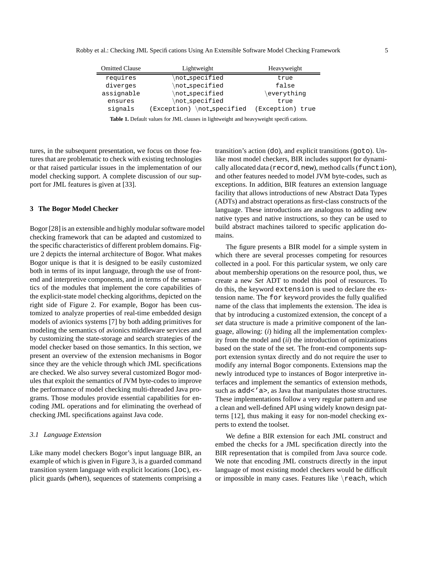Robby et al.: Checking JML Specifications Using An Extensible Software Model Checking Framework 5

| <b>Omitted Clause</b> | Lightweight                | Heavyweight      |  |
|-----------------------|----------------------------|------------------|--|
| requires              | \not_specified             | true             |  |
| diverges              | \not_specified             | false            |  |
| assignable            | \not_specified             | \everything      |  |
| ensures               | \not_specified             | true             |  |
| signals               | (Exception) \not_specified | (Exception) true |  |

**Table 1.** Default values for JML clauses in lightweight and heavyweight specifications.

tures, in the subsequent presentation, we focus on those features that are problematic to check with existing technologies or that raised particular issues in the implementation of our model checking support. A complete discussion of our support for JML features is given at [33].

## **3 The Bogor Model Checker**

Bogor [28] is an extensible and highly modular software model checking framework that can be adapted and customized to the specific characteristics of different problem domains. Figure 2 depicts the internal architecture of Bogor. What makes Bogor unique is that it is designed to be easily customized both in terms of its input language, through the use of frontend and interpretive components, and in terms of the semantics of the modules that implement the core capabilities of the explicit-state model checking algorithms, depicted on the right side of Figure 2. For example, Bogor has been customized to analyze properties of real-time embedded design models of avionics systems [7] by both adding primitives for modeling the semantics of avionics middleware services and by customizing the state-storage and search strategies of the model checker based on those semantics. In this section, we present an overview of the extension mechanisms in Bogor since they are the vehicle through which JML specifications are checked. We also survey several customized Bogor modules that exploit the semantics of JVM byte-codes to improve the performance of model checking multi-threaded Java programs. Those modules provide essential capabilities for encoding JML operations and for eliminating the overhead of checking JML specifications against Java code.

#### *3.1 Language Extension*

Like many model checkers Bogor's input language BIR, an example of which is given in Figure 3, is a guarded command transition system language with explicit locations (loc), explicit guards (when), sequences of statements comprising a

transition's action (do), and explicit transitions (goto). Unlike most model checkers, BIR includes support for dynamically allocated data (record, new), method calls (function), and other features needed to model JVM byte-codes, such as exceptions. In addition, BIR features an extension language facility that allows introductions of new Abstract Data Types (ADTs) and abstract operations as first-class constructs of the language. These introductions are analogous to adding new native types and native instructions, so they can be used to build abstract machines tailored to specific application domains.

The figure presents a BIR model for a simple system in which there are several processes competing for resources collected in a pool. For this particular system, we only care about membership operations on the resource pool, thus, we create a new *Set* ADT to model this pool of resources. To do this, the keyword extension is used to declare the extension name. The for keyword provides the fully qualified name of the class that implements the extension. The idea is that by introducing a customized extension, the concept of a *set* data structure is made a primitive component of the language, allowing: (*i*) hiding all the implementation complexity from the model and (*ii*) the introduction of optimizations based on the state of the set. The front-end components support extension syntax directly and do not require the user to modify any internal Bogor components. Extensions map the newly introduced type to instances of Bogor interpretive interfaces and implement the semantics of extension methods, such as  $add < 'a>$ , as Java that manipulates those structures. These implementations follow a very regular pattern and use a clean and well-defined API using widely known design patterns [12], thus making it easy for non-model checking experts to extend the toolset.

We define a BIR extension for each JML construct and embed the checks for a JML specification directly into the BIR representation that is compiled from Java source code. We note that encoding JML constructs directly in the input language of most existing model checkers would be difficult or impossible in many cases. Features like \reach, which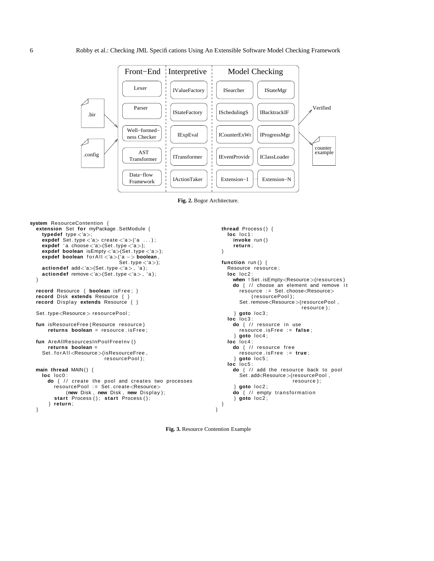

**Fig. 2.** Bogor Architecture.

```
system ResourceContention {
   extension Set for myPackage . SetModule {
typedef type <'a>;
     expdef Set . type <'a> create <'a>('a . . . ) ;
     expdef ' a choose<'a>(Set . type <'a>);
expdef boolean isEmpty <'a>(Set . type <'a>);
    expdef boolean forAll <'a>('a −> boolean,
                                  Set type < a);
     actiondef add<'a>(Set.type <'a>,'a);
    actiondef remove<'a>(Set.type<'a>, 'a);
  }
   record Resource { boolean isFree ; }
record Disk extends Resource { }
  record Display extends Resource { }
  Set . type<Resource> resourcePool;
  fun isResourceFree ( Resource resource )
       returns boolean = resource . isFree ;
  fun AreAllResourcesInPoolFreeInv ( )
       returns boolean =
     Set. for All<Resource>(isResourceFree,
                             resourcePool ) ;
  main thread MAIN ( ) {
    loc loc0 :
       do { // create the pool and creates two processes
         resourcePool := Set.create<Resource>
              (new Disk , new Disk , new Display ) ;
         start Process (); start Process ();
       } return ;
  }
                                                                          thread Process () {
                                                                             loc loc1 :
                                                                               invoke run ( )
                                                                               return ;
                                                                          }
                                                                          function run() {
                                                                             Resource resource ;
                                                                             loc loc2 :
                                                                               when ! Set. isEmpty<Resource>(resources)
                                                                               do { // choose an element and remove it
                                                                                 resource := Set.choose<Resource>
                                                                                      ( resourcePool ) ;
                                                                                 Set remove<Resource>(resourcePool,
                                                                                                          resource ) ;
                                                                               } goto loc3 ;
                                                                             loc loc3 :
                                                                               do { // resource in use
                                                                                 resource . isFree := false;
                                                                                 } goto loc4 ;
                                                                             loc loc4 :
                                                                               do { // resource free
                                                                                 resource.isFree := true;
                                                                                } goto loc5 ;
                                                                             loc loc5 :
                                                                               do { // add the resource back to pool
                                                                                 Set.add<Resource>(resourcePool,
                                                                                                      resource ) ;
                                                                               } goto loc2 ;
                                                                               do { // empty transformation
                                                                               } goto loc2 ;
                                                                          }
                                                                        }
```
**Fig. 3.** Resource Contention Example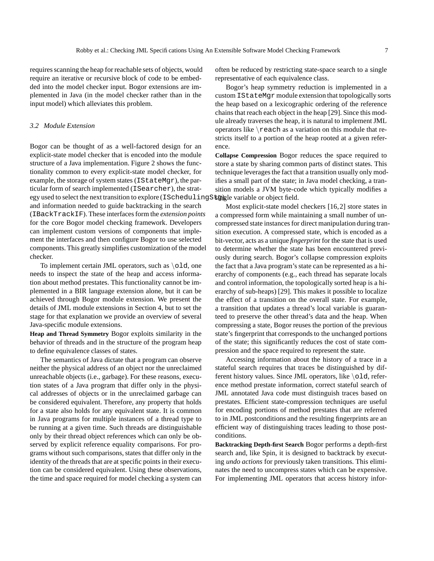requires scanning the heap for reachable sets of objects, would require an iterative or recursive block of code to be embedded into the model checker input. Bogor extensions are implemented in Java (in the model checker rather than in the input model) which alleviates this problem.

## *3.2 Module Extension*

Bogor can be thought of as a well-factored design for an explicit-state model checker that is encoded into the module structure of a Java implementation. Figure 2 shows the functionality common to every explicit-state model checker, for example, the storage of system states (IStateMgr), the particular form of search implemented (ISearcher), the strategy used to select the next transition to explore (ISchedulingStsin), le variable or object field. and information needed to guide backtracking in the search (IBackTrackIF). These interfacesform the *extension points* for the core Bogor model checking framework. Developers can implement custom versions of components that implement the interfaces and then configure Bogor to use selected components. This greatly simplifies customization of the model checker.

To implement certain JML operators, such as \old, one needs to inspect the state of the heap and access information about method prestates. This functionality cannot be implemented in a BIR language extension alone, but it can be achieved through Bogor module extension. We present the details of JML module extensions in Section 4, but to set the stage for that explanation we provide an overview of several Java-specific module extensions.

**Heap and Thread Symmetry** Bogor exploits similarity in the behavior of threads and in the structure of the program heap to define equivalence classes of states.

The semantics of Java dictate that a program can observe neither the physical address of an object nor the unreclaimed unreachable objects (i.e., garbage). For these reasons, execution states of a Java program that differ only in the physical addresses of objects or in the unreclaimed garbage can be considered equivalent. Therefore, any property that holds for a state also holds for any equivalent state. It is common in Java programs for multiple instances of a thread type to be running at a given time. Such threads are distinguishable only by their thread object references which can only be observed by explicit reference equality comparisons. For programs without such comparisons, states that differ only in the identity of the threads that are at specific points in their execution can be considered equivalent. Using these observations, the time and space required for model checking a system can

often be reduced by restricting state-space search to a single representative of each equivalence class.

Bogor's heap symmetry reduction is implemented in a custom IStateMgr module extension that topologically sorts the heap based on a lexicographic ordering of the reference chains that reach each object in the heap [29]. Since this module already traverses the heap, it is natural to implement JML operators like  $\text{real}$  as a variation on this module that restricts itself to a portion of the heap rooted at a given reference.

**Collapse Compression** Bogor reduces the space required to store a state by sharing common parts of distinct states. This technique leverages the fact that a transition usually only modifies a small part of the state; in Java model checking, a transition models a JVM byte-code which typically modifies a

Most explicit-state model checkers [16,2] store states in a compressed form while maintaining a small number of uncompressed state instances for direct manipulation during transition execution. A compressed state, which is encoded as a bit-vector, acts as a unique *fingerprint* for the state that is used to determine whether the state has been encountered previously during search. Bogor's collapse compression exploits the fact that a Java program's state can be represented as a hierarchy of components (e.g., each thread has separate locals and control information, the topologically sorted heap is a hierarchy of sub-heaps) [29]. This makes it possible to localize the effect of a transition on the overall state. For example, a transition that updates a thread's local variable is guaranteed to preserve the other thread's data and the heap. When compressing a state, Bogor reuses the portion of the previous state's fingerprint that corresponds to the unchanged portions of the state; this significantly reduces the cost of state compression and the space required to represent the state.

Accessing information about the history of a trace in a stateful search requires that traces be distinguished by different history values. Since JML operators, like \old, reference method prestate information, correct stateful search of JML annotated Java code must distinguish traces based on prestates. Efficient state-compression techniques are useful for encoding portions of method prestates that are referred to in JML postconditions and the resulting fingerprints are an efficient way of distinguishing traces leading to those postconditions.

**Backtracking Depth-first Search** Bogor performs a depth-first search and, like Spin, it is designed to backtrack by executing *undo actions* for previously taken transitions. This eliminates the need to uncompress states which can be expensive. For implementing JML operators that access history infor-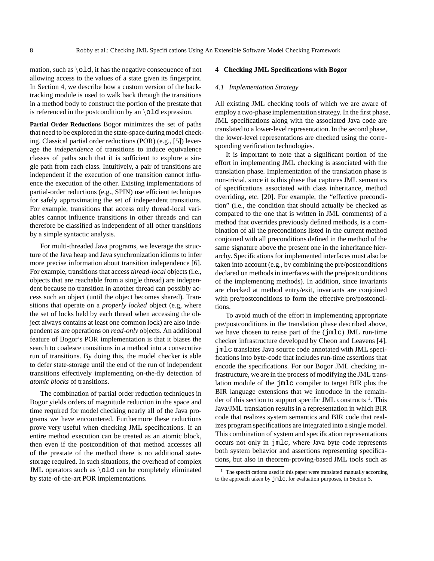mation, such as  $\cdot$   $\circ$  1d, it has the negative consequence of not allowing access to the values of a state given its fingerprint. In Section 4, we describe how a custom version of the backtracking module is used to walk back through the transitions in a method body to construct the portion of the prestate that is referenced in the postcondition by an  $\cdot$ old expression.

**Partial Order Reductions** Bogor minimizes the set of paths that need to be explored in the state-space during model checking. Classical partial order reductions (POR) (e.g., [5]) leverage the *independence* of transitions to induce equivalence classes of paths such that it is sufficient to explore a single path from each class. Intuitively, a pair of transitions are independent if the execution of one transition cannot influence the execution of the other. Existing implementations of partial-order reductions (e.g., SPIN) use efficient techniques for safely approximating the set of independent transitions. For example, transitions that access only thread-local variables cannot influence transitions in other threads and can therefore be classified as independent of all other transitions by a simple syntactic analysis.

For multi-threaded Java programs, we leverage the structure of the Java heap and Java synchronization idioms to infer more precise information about transition independence [6]. For example, transitions that access *thread-local* objects (i.e., objects that are reachable from a single thread) are independent because no transition in another thread can possibly access such an object (until the object becomes shared). Transitions that operate on a *properly locked* object (e.g, where the set of locks held by each thread when accessing the object always contains at least one common lock) are also independent as are operations on *read-only* objects. An additional feature of Bogor's POR implementation is that it biases the search to coalesce transitions in a method into a consecutive run of transitions. By doing this, the model checker is able to defer state-storage until the end of the run of independent transitions effectively implementing on-the-fly detection of *atomic blocks* of transitions.

The combination of partial order reduction techniques in Bogor yields orders of magnitude reduction in the space and time required for model checking nearly all of the Java programs we have encountered. Furthermore these reductions prove very useful when checking JML specifications. If an entire method execution can be treated as an atomic block, then even if the postcondition of that method accesses all of the prestate of the method there is no additional statestorage required. In such situations, the overhead of complex JML operators such as \old can be completely eliminated by state-of-the-art POR implementations.

# **4 Checking JML Specifications with Bogor**

#### *4.1 Implementation Strategy*

All existing JML checking tools of which we are aware of employ a two-phase implementation strategy. In the first phase, JML specifications along with the associated Java code are translated to a lower-level representation.In the second phase, the lower-level representations are checked using the corresponding verification technologies.

It is important to note that a significant portion of the effort in implementing JML checking is associated with the translation phase. Implementation of the translation phase is non-trivial, since it is this phase that captures JML semantics of specifications associated with class inheritance, method overriding, etc. [20]. For example, the "effective precondition" (i.e., the condition that should actually be checked as compared to the one that is written in JML comments) of a method that overrides previously defined methods, is a combination of all the preconditions listed in the current method conjoined with all preconditions defined in the method of the same signature above the present one in the inheritance hierarchy. Specifications for implemented interfaces must also be taken into account (e.g., by combining the pre/postconditions declared on methods in interfaces with the pre/postconditions of the implementing methods). In addition, since invariants are checked at method entry/exit, invariants are conjoined with pre/postconditions to form the effective pre/postconditions.

To avoid much of the effort in implementing appropriate pre/postconditions in the translation phase described above, we have chosen to reuse part of the (jmlc) JML run-time checker infrastructure developed by Cheon and Leavens [4]. jmlc translates Java source code annotated with JML specifications into byte-code that includes run-time assertions that encode the specifications. For our Bogor JML checking infrastructure, we are in the process of modifying the JML translation module of the jmlc compiler to target BIR plus the BIR language extensions that we introduce in the remainder of this section to support specific JML constructs  $<sup>1</sup>$ . This</sup> Java/JML translation results in a representation in which BIR code that realizes system semantics and BIR code that realizes program specifications are integrated into a single model. This combination of system and specification representations occurs not only in jmlc, where Java byte code represents both system behavior and assertions representing specifications, but also in theorem-proving-based JML tools such as

 $1$  The specifications used in this paper were translated manually according to the approach taken by jmlc, for evaluation purposes, in Section 5.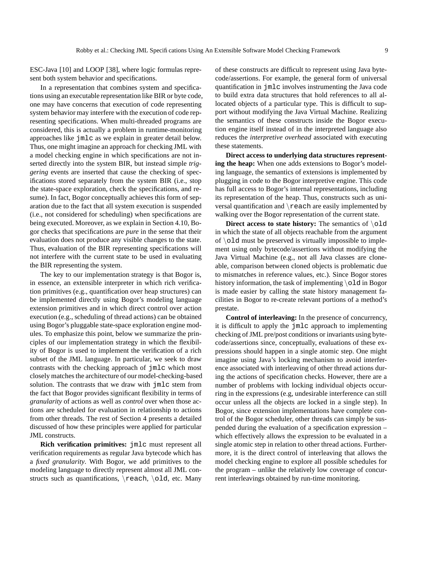ESC-Java [10] and LOOP [38], where logic formulas represent both system behavior and specifications.

In a representation that combines system and specifications using an executable representation like BIR or byte code, one may have concerns that execution of code representing system behavior may interfere with the execution of code representing specifications. When multi-threaded programs are considered, this is actually a problem in runtime-monitoring approaches like jmlc as we explain in greater detail below. Thus, one might imagine an approach for checking JML with a model checking engine in which specifications are not inserted directly into the system BIR, but instead simple *triggering* events are inserted that cause the checking of specifications stored separately from the system BIR (i.e., stop the state-space exploration, check the specifications, and resume). In fact, Bogor conceptually achieves this form of separation due to the fact that all system execution is suspended (i.e., not considered for scheduling) when specifications are being executed. Moreover, as we explain in Section 4.10, Bogor checks that specifications are *pure* in the sense that their evaluation does not produce any visible changes to the state. Thus, evaluation of the BIR representing specifications will not interfere with the current state to be used in evaluating the BIR representing the system.

The key to our implementation strategy is that Bogor is, in essence, an extensible interpreter in which rich verification primitives (e.g., quantification over heap structures) can be implemented directly using Bogor's modeling language extension primitives and in which direct control over action execution (e.g., scheduling of thread actions) can be obtained using Bogor's pluggable state-space exploration engine modules. To emphasize this point, below we summarize the principles of our implementation strategy in which the flexibility of Bogor is used to implement the verification of a rich subset of the JML language. In particular, we seek to draw contrasts with the checking approach of jmlc which most closely matchesthe architecture of our model-checking-based solution. The contrasts that we draw with  $jmlc$  stem from the fact that Bogor provides significant flexibility in terms of *granularity* of actions as well as *control* over when those actions are scheduled for evaluation in relationship to actions from other threads. The rest of Section 4 presents a detailed discussed of how these principles were applied for particular JML constructs.

**Rich verification primitives:** jmlc must represent all verification requirements as regular Java bytecode which has a *fixed granularity*. With Bogor, we add primitives to the modeling language to directly represent almost all JML constructs such as quantifications, \reach, \old, etc. Many

of these constructs are difficult to represent using Java bytecode/assertions. For example, the general form of universal quantification in jmlc involves instrumenting the Java code to build extra data structures that hold references to all allocated objects of a particular type. This is difficult to support without modifying the Java Virtual Machine. Realizing the semantics of these constructs inside the Bogor execution engine itself instead of in the interpreted language also reduces the *interpretive overhead* associated with executing these statements.

**Direct access to underlying data structures representing the heap:** When one adds extensions to Bogor's modeling language, the semantics of extensions is implemented by plugging in code to the Bogor interpretive engine. This code has full access to Bogor's internal representations, including its representation of the heap. Thus, constructs such as universal quantification and \reach are easily implemented by walking over the Bogor representation of the current state.

**Direct access to state history:** The semantics of \old in which the state of all objects reachable from the argument of \old must be preserved is virtually impossible to implement using only bytecode/assertions without modifying the Java Virtual Machine (e.g., not all Java classes are cloneable, comparison between cloned objects is problematic due to mismatches in reference values, etc.). Since Bogor stores history information, the task of implementing \old in Bogor is made easier by calling the state history management facilities in Bogor to re-create relevant portions of a method's prestate.

**Control of interleaving:** In the presence of concurrency, it is difficult to apply the jmlc approach to implementing checking of JML pre/post conditions or invariants using bytecode/assertions since, conceptually, evaluations of these expressions should happen in a single atomic step. One might imagine using Java's locking mechanism to avoid interference associated with interleaving of other thread actions during the actions of specification checks. However, there are a number of problems with locking individual objects occurring in the expressions (e.g, undesirable interference can still occur unless all the objects are locked in a single step). In Bogor, since extension implementations have complete control of the Bogor scheduler, other threads can simply be suspended during the evaluation of a specification expression – which effectively allows the expression to be evaluated in a single atomic step in relation to other thread actions. Furthermore, it is the direct control of interleaving that allows the model checking engine to explore all possible schedules for the program – unlike the relatively low coverage of concurrent interleavings obtained by run-time monitoring.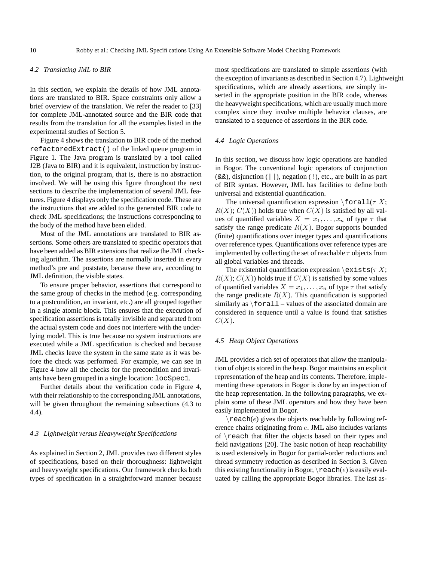# *4.2 Translating JML to BIR*

In this section, we explain the details of how JML annotations are translated to BIR. Space constraints only allow a brief overview of the translation. We refer the reader to [33] for complete JML-annotated source and the BIR code that results from the translation for all the examples listed in the experimental studies of Section 5.

Figure 4 shows the translation to BIR code of the method refactoredExtract() of the linked queue program in Figure 1. The Java program is translated by a tool called J2B (Java to BIR) and it is equivalent, instruction by instruction, to the original program, that is, there is no abstraction involved. We will be using this figure throughout the next sections to describe the implementation of several JML features. Figure 4 displays only the specification code. These are the instructions that are added to the generated BIR code to check JML specifications; the instructions corresponding to the body of the method have been elided.

Most of the JML annotations are translated to BIR assertions. Some others are translated to specific operators that have been added as BIR extensions that realize the JML checking algorithm. The assertions are normally inserted in every method's pre and poststate, because these are, according to JML definition, the visible states.

To ensure proper behavior, assertions that correspond to the same group of checks in the method (e.g. corresponding to a postcondition, an invariant, etc.) are all grouped together in a single atomic block. This ensures that the execution of specification assertions is totally invisible and separated from the actual system code and does not interfere with the underlying model. This is true because no system instructions are executed while a JML specification is checked and because JML checks leave the system in the same state as it was before the check was performed. For example, we can see in Figure 4 how all the checks for the precondition and invariants have been grouped in a single location: locSpec1.

Further details about the verification code in Figure 4, with their relationship to the corresponding JML annotations, will be given throughout the remaining subsections  $(4.3 \text{ to}$ 4.4).

# *4.3 Lightweight versus Heavyweight Specifications*

As explained in Section 2, JML provides two different styles of specifications, based on their thoroughness: lightweight and heavyweight specifications. Our framework checks both types of specification in a straightforward manner because most specifications are translated to simple assertions (with the exception of invariants as described in Section 4.7). Lightweight specifications, which are already assertions, are simply inserted in the appropriate position in the BIR code, whereas the heavyweight specifications, which are usually much more complex since they involve multiple behavior clauses, are translated to a sequence of assertions in the BIR code.

# *4.4 Logic Operations*

In this section, we discuss how logic operations are handled in Bogor. The conventional logic operators of conjunction  $(\&\&)$ , disjunction (||), negation (!), etc., are built in as part of BIR syntax. However, JML has facilities to define both universal and existential quantification.

The universal quantification expression  $\frac{\text{total}(\tau X; \dots)$  $R(X)$ ;  $C(X)$ ) holds true when  $C(X)$  is satisfied by all values of quantified variables  $X = x_1, \ldots, x_n$  of type  $\tau$  that satisfy the range predicate  $R(X)$ . Bogor supports bounded (finite) quantifications over integer types and quantifications over reference types. Quantifications over reference types are implemented by collecting the set of reachable  $\tau$  objects from all global variables and threads.

The existential quantification expression  $\exists x : f \in X;$  $R(X)$ ;  $C(X)$ ) holds true if  $C(X)$  is satisfied by some values of quantified variables  $X = x_1, \ldots, x_n$  of type  $\tau$  that satisfy the range predicate  $R(X)$ . This quantification is supported similarly as  $\forall$  for all – values of the associated domain are considered in sequence until a value is found that satisfies  $C(X)$ .

# *4.5 Heap Object Operations*

JML provides a rich set of operators that allow the manipulation of objects stored in the heap. Bogor maintains an explicit representation of the heap and its contents. Therefore, implementing these operators in Bogor is done by an inspection of the heap representation. In the following paragraphs, we explain some of these JML operators and how they have been easily implemented in Bogor.

 $\text{real}(e)$  gives the objects reachable by following reference chains originating from e. JML also includes variants of \reach that filter the objects based on their types and field navigations [20]. The basic notion of heap reachability is used extensively in Bogor for partial-order reductions and thread symmetry reduction as described in Section 3. Given this existing functionality in Bogor,  $\operatorname{reach}(e)$  is easily evaluated by calling the appropriate Bogor libraries. The last as-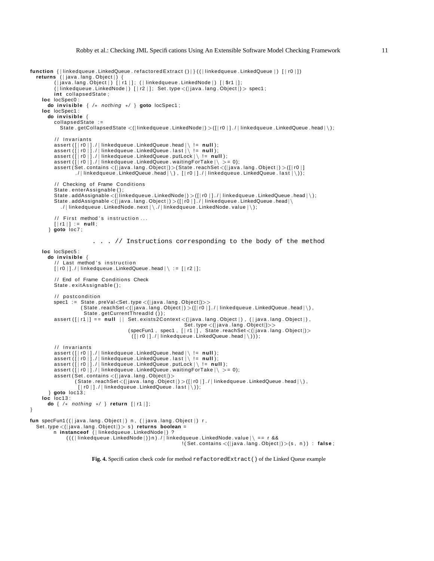```
function {|linkedqueue.LinkedQueue .refactoredExtract()|}((|linkedqueue.LinkedQueue|) [|r0|])<br>returns (|java.lang.Object|) {
           (| java . lang . Object | \big) | \big[ | \rceil 1 \big]; | \big| linkedqueue . LinkedNode | \big) | \rceil 1 \rceil;
           (|linkedqueue.LinkedNode|) [| r2 | ]; Set.type <(| java.lang. Object|) > spec1;
           int collapsedState;
     loc locSpec0 :
       do inv i s ibl e { /∗ nothing ∗/ } goto locSpec1 ;
     loc locSpec1
        do inv i s ibl e {
          collansedState :=State . getCollapsedState <(|linkedqueue . LinkedNode|) >([|r0|] ./| linkedqueue . LinkedQueue . head |\);
           // Invariants
          assert ([ | r0 | ]./| linkedqueue. LinkedQueue. head | \ | = null ;
           assert ( [ | r0 | ] . / | linkedqueue . LinkedQueue . l a s t | \ ! = null ) ;
           assert ( [ | r0 | ] . / | linkedqueue . LinkedQueue . putLock | \ ! = null ) ;
          assert ([ \cdot | r0 ]. / | linkedqueue . LinkedQueue . waitingForTake |\rangle >= 0);
          assert ( Set . contains <(| java . lang . Object |) >( State . reachSet <(| java . lang . Object |) >([| r0 | ]
                    ./| linkedqueue .LinkedQueue .head |\rangle, [| r0 | ] ./ | linkedqueue .LinkedQueue .last |\rangle);
          / / Checking of Frame Conditions
          State . enterAssignable();
           State . addAssignable <(|linkedqueue . LinkedNode|) >([| r0 |]. /| linkedqueue . LinkedQueue . head |\);<br>State . addAssignable <(|java . lang . Object |) >([| r0 |]. /| linkedqueue . LinkedQueue . head |\
             ./| linkedqueue.LinkedNode.next|\./| linkedqueue.LinkedNode.value|\);
           // First method's instruction ...
           [ | r1 | ] := null;} goto loc7 ;
                            . . . // Instructions corresponding to the body of the method
     loc locSpec5 :
        do inv i s ibl e {
           // Last method's instruction
          [ | r0 | ]./| linkedqueue. LinkedQueue. head | \setminus | = [ | r2 | ];
           // End of Frame Conditions Check
          State.exitAssignable();
           // postcondition
          spec1 := State.preVal<Set.type <(|java.lang.Object|)>>
                      (S)tate . reachSet \langle | java . lang . Object | \rangle > ([| r0 |] . / | linkedqueue . LinkedQueue . head |\setminus\rangle,
                       State . getCurrentThreadId ());
          assert ([|r1|] == null || Set.exists2Context <(|java.lang.Object|), (|java.lang.Object|),
                                                                    Set . type <(| java . lang . Object|)>
                                           ( specFun1 , spec1 , [ | r1 | ] , State . reachSet <(| java . lang . Object|)>
                                            (| | r0 | ] . / | linkedqueue . LinkedQueue . head | \langle ) ) ;
          // Invariants
          assert ([ | r0 | ]./|linkedqueue.LinkedQueue.head | \ != null );
          assert (| \mid r0 \mid )./ | linkedqueue. LinkedQueue. last |\n\big| != null);
          assert (\overrightarrow{[} \mid r0 \mid ]./\overrightarrow{ }linkedqueue . LinkedQueue . putLock | \setminus | = null );
          assert (| \cdot | r0 | ] . / | linkedqueue . LinkedQueue . waitingForTake | \ > = 0);
          assert (Set. contains <(|java.lang. Object|)>
                   (State \cdot reachSet \leq (|java \cdot lang \cdot Object|) > ([|r0 |] \cdot / |linkedqueue \cdot LinkedQueue \cdot head|),[ | r0 | ] . / | linkedqueue . LinkedQueue . last | \rangle );
        } goto loc13 ;
     loc loc13 :
       do { /∗ nothing ∗/ } return [ | r1 | ] ;
}
fun specFun1((| java.lang. Object|) n, (| java.lang. Object|) r,
   Set . type <(| java . lang . Object |) > s ) returns boolean =
          n instanceof (| linkedqueue . LinkedNode | ) ?
                (( ( linkedqueue . LinkedNode |) n )/ | linkedqueue . LinkedNode . value |\rangle == r &&
                                                                   ! ( Set . contains <(| java . lang . Object |) >(s , n ) ) : false ;
```
**Fig. 4.** Specification check code for method refactoredExtract() of the Linked Queue example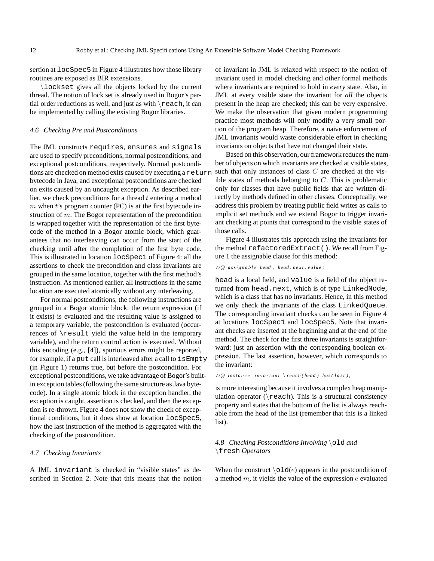sertion at locSpec5 in Figure 4 illustrates how those library routines are exposed as BIR extensions.

\lockset gives all the objects locked by the current thread. The notion of lock set is already used in Bogor's partial order reductions as well, and just as with  $\$ reach, it can be implemented by calling the existing Bogor libraries.

#### *4.6 Checking Pre and Postconditions*

The JML constructs requires, ensures and signals are used to specify preconditions, normal postconditions, and exceptional postconditions, respectively. Normal postconditions are checked on method exits caused by executing a return bytecode in Java, and exceptional postconditions are checked on exits caused by an uncaught exception. As described earlier, we check preconditions for a thread  $t$  entering a method  $m$  when t's program counter (PC) is at the first bytecode instruction of m. The Bogor representation of the precondition is wrapped together with the representation of the first bytecode of the method in a Bogor atomic block, which guarantees that no interleaving can occur from the start of the checking until after the completion of the first byte code. This is illustrated in location locSpec1 of Figure 4: all the assertions to check the precondition and class invariants are grouped in the same location, together with the first method's instruction. As mentioned earlier, all instructions in the same location are executed atomically without any interleaving.

For normal postconditions, the following instructions are grouped in a Bogor atomic block: the return expression (if it exists) is evaluated and the resulting value is assigned to a temporary variable, the postcondition is evaluated (occurrences of \result yield the value held in the temporary variable), and the return control action is executed. Without this encoding (e.g., [4]), spurious errors might be reported, for example, if a put call is interleaved after a call to isEmpty (in Figure 1) returns true, but before the postcondition. For exceptional postconditions, we take advantage of Bogor's builtin exception tables(following the same structure as Java bytecode). In a single atomic block in the exception handler, the exception is caught, assertion is checked, and then the exception is re-thrown. Figure 4 does not show the check of exceptional conditions, but it does show at location locSpec5, how the last instruction of the method is aggregated with the checking of the postcondition.

# *4.7 Checking Invariants*

A JML invariant is checked in "visible states" as described in Section 2. Note that this means that the notion of invariant in JML is relaxed with respect to the notion of invariant used in model checking and other formal methods where invariants are required to hold in *every* state. Also, in JML at every visible state the invariant for *all* the objects present in the heap are checked; this can be very expensive. We make the observation that given modern programming practice most methods will only modify a very small portion of the program heap. Therefore, a naive enforcement of JML invariants would waste considerable effort in checking invariants on objects that have not changed their state.

Based on this observation, our framework reduces the number of objects on which invariants are checked at visible states, such that only instances of class  $C$  are checked at the visible states of methods belonging to  $C$ . This is problematic only for classes that have public fields that are written directly by methods defined in other classes. Conceptually, we address this problem by treating public field writes as calls to implicit set methods and we extend Bogor to trigger invariant checking at points that correspond to the visible states of those calls.

Figure 4 illustrates this approach using the invariants for the method refactoredExtract(). We recall from Figure 1 the assignable clause for this method:

//@ assignable head, head.next.value;

head is a local field, and value is a field of the object returned from head.next, which is of type LinkedNode, which is a class that has no invariants. Hence, in this method we only check the invariants of the class LinkedQueue. The corresponding invariant checks can be seen in Figure 4 at locations locSpec1 and locSpec5. Note that invariant checks are inserted at the beginning and at the end of the method. The check for the first three invariants is straightforward: just an assertion with the corresponding boolean expression. The last assertion, however, which corresponds to the invariant:

 $//@instance \text{ } invariant \ \text{ } \ \text{ } head). \ \text{ } has (last);$ 

is more interesting because it involves a complex heap manipulation operator ( $\text{real}$ ). This is a structural consistency property and states that the bottom of the list is always reachable from the head of the list (remember that this is a linked list).

# *4.8 Checking Postconditions Involving* \old *and* \fresh *Operators*

When the construct  $\text{old}(e)$  appears in the postcondition of a method  $m$ , it yields the value of the expression  $e$  evaluated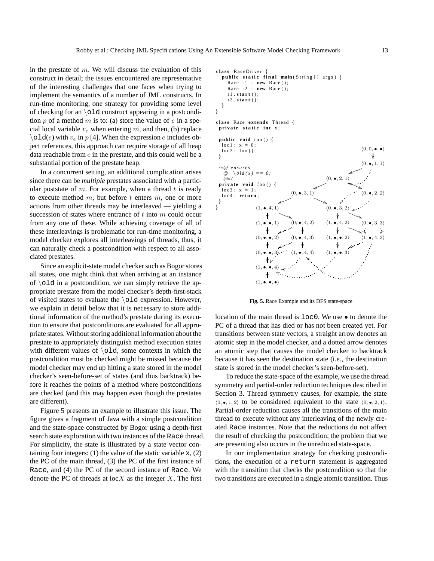in the prestate of  $m$ . We will discuss the evaluation of this construct in detail; the issues encountered are representative of the interesting challenges that one faces when trying to implement the semantics of a number of JML constructs. In run-time monitoring, one strategy for providing some level of checking for an \old construct appearing in a postcondition  $p$  of a method  $m$  is to: (a) store the value of  $e$  in a special local variable  $v_e$  when entering m, and then, (b) replace  $\setminus$ old(e) with  $v_e$  in p [4]. When the expression e includes object references, this approach can require storage of all heap data reachable from  $e$  in the prestate, and this could well be a substantial portion of the prestate heap.

In a concurrent setting, an additional complication arises since there can be *multiple* prestates associated with a particular poststate of  $m$ . For example, when a thread  $t$  is ready to execute method  $m$ , but before  $t$  enters  $m$ , one or more actions from other threads may be interleaved — yielding a succession of states where entrance of  $t$  into  $m$  could occur from any one of these. While achieving coverage of all of these interleavings is problematic for run-time monitoring, a model checker explores all interleavings of threads, thus, it can naturally check a postcondition with respect to all associated prestates.

Since an explicit-state model checker such as Bogor stores all states, one might think that when arriving at an instance of  $\cdot$ old in a postcondition, we can simply retrieve the appropriate prestate from the model checker's depth-first-stack of visited states to evaluate the \old expression. However, we explain in detail below that it is necessary to store additional information of the method's prestate during its execution to ensure that postconditions are evaluated for all appropriate states. Without storing additional information about the prestate to appropriately distinguish method execution states with different values of  $\cdot$ old, some contexts in which the postcondition must be checked might be missed because the model checker may end up hitting a state stored in the model checker's seen-before-set of states (and thus backtrack) before it reaches the points of a method where postconditions are checked (and this may happen even though the prestates are different).

Figure 5 presents an example to illustrate this issue. The figure gives a fragment of Java with a simple postcondition and the state-space constructed by Bogor using a depth-first search state exploration with two instances of the Race thread. For simplicity, the state is illustrated by a state vector containing four integers: (1) the value of the static variable  $x$ , (2) the PC of the main thread, (3) the PC of the first instance of Race, and (4) the PC of the second instance of Race. We denote the PC of threads at  $loc X$  as the integer X. The first



**Fig. 5.** Race Example and its DFS state-space

location of the main thread is loc0. We use • to denote the PC of a thread that has died or has not been created yet. For transitions between state vectors, a straight arrow denotes an atomic step in the model checker, and a dotted arrow denotes an atomic step that causes the model checker to backtrack because it has seen the destination state (i.e., the destination state is stored in the model checker's seen-before-set).

To reduce the state-space of the example, we use the thread symmetry and partial-order reduction techniques described in Section 3. Thread symmetry causes, for example, the state  $\langle 0, \bullet, 1, 2 \rangle$  to be considered equivalent to the state  $\langle 0, \bullet, 2, 1 \rangle$ . Partial-order reduction causes all the transitions of the main thread to execute without any interleaving of the newly created Race instances. Note that the reductions do not affect the result of checking the postcondition; the problem that we are presenting also occurs in the unreduced state-space.

In our implementation strategy for checking postconditions, the execution of a return statement is aggregated with the transition that checks the postcondition so that the two transitions are executed in a single atomic transition. Thus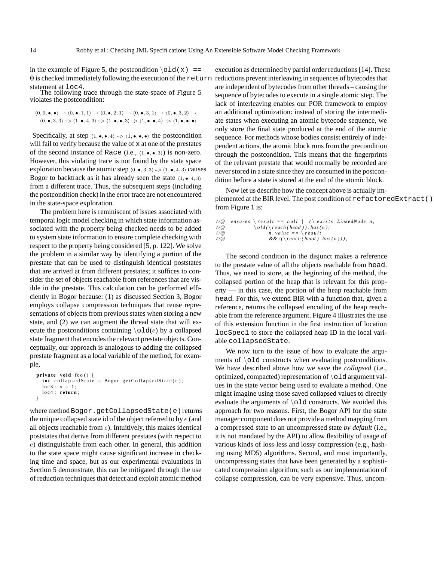in the example of Figure 5, the postcondition  $\cdot$ old(x) == 0 is checked immediately following the execution of the return reductions prevent interleaving in sequences of bytecodesthat statement at loc4.

The following trace through the state-space of Figure 5 violates the postcondition:

$$
\langle 0,0,\bullet,\bullet\rangle\rightarrow\langle 0,\bullet,1,1\rangle\rightarrow\langle 0,\bullet,2,1\rangle\rightarrow\langle 0,\bullet,3,1\rangle\rightarrow\langle 0,\bullet,3,2\rangle\rightarrow\\\langle 0,\bullet,3,3\rangle\rightarrowtail\langle 1,\bullet,4,3\rangle\rightarrowtail\langle 1,\bullet,\bullet,3\rangle\rightarrowtail\langle 1,\bullet,\bullet,4\rangle\rightarrowtail\langle 1,\bullet,\bullet,\bullet\rangle
$$

Specifically, at step  $\langle 1, \bullet, \bullet, 4 \rangle \rightarrow \langle 1, \bullet, \bullet, \bullet \rangle$  the postcondition will fail to verify because the value of x at one of the prestates of the second instance of Race (i.e.,  $\langle 1, \bullet, \bullet, 3 \rangle$ ) is non-zero. However, this violating trace is not found by the state space exploration because the atomic step  $(0, \bullet, 3, 3) \rightarrow (1, \bullet, 4, 3)$  causes Bogor to backtrack as it has already seen the state  $(1, \bullet, 4, 3)$ from a different trace. Thus, the subsequent steps (including the postcondition check) in the error trace are not encountered in the state-space exploration.

The problem here is reminiscent of issues associated with temporal logic model checking in which state information associated with the property being checked needs to be added to system state information to ensure complete checking with respect to the property being considered [5, p. 122]. We solve the problem in a similar way by identifying a portion of the prestate that can be used to distinguish identical poststates that are arrived at from different prestates; it suffices to consider the set of objects reachable from references that are visible in the prestate. This calculation can be performed efficiently in Bogor because: (1) as discussed Section 3, Bogor employs collapse compression techniques that reuse representations of objects from previous states when storing a new state, and (2) we can augment the thread state that will execute the postconditions containing  $\cdot$ old $(e)$  by a collapsed state fragment that encodes the relevant prestate objects. Conceptually, our approach is analogous to adding the collapsed prestate fragment as a local variable of the method, for example,

```
p r i v a t e void foo ( ) {
  int collapsed State = Bogor.get Collapsed State(e);
  loc 3: x = 1;10c4 : return :
}
```
where method Bogor.getCollapsedState(e)returns the unique collapsed state id of the object referred to by e (and all objects reachable from  $e$ ). Intuitively, this makes identical poststates that derive from different prestates (with respect to e) distinguishable from each other. In general, this addition to the state space might cause significant increase in checking time and space, but as our experimental evaluations in Section 5 demonstrate, this can be mitigated through the use of reduction techniques that detect and exploit atomic method

execution as determined by partial order reductions[14]. These are independent of bytecodesfrom other threads – causing the sequence of bytecodes to execute in a single atomic step. The lack of interleaving enables our POR framework to employ an additional optimization: instead of storing the intermediate states when executing an atomic bytecode sequence, we only store the final state produced at the end of the atomic sequence. For methods whose bodies consist entirely of independent actions, the atomic block runs from the precondition through the postcondition. This means that the fingerprints of the relevant prestate that would normally be recorded are never stored in a state since they are consumed in the postcondition before a state is stored at the end of the atomic block.

Now let us describe how the concept above is actually implemented at the BIR level. The post condition of refactoredExtract() from Figure 1 is:

```
//@ ensures \result == null || (\exists LinkedNode n;
/ /@ \o l d (\ r each ( head ) ) . has ( n ) ;
                         \overline{a}. \overline{v} alue \overline{a} = \overline{v} \overline{r} result
/ /@ && !(\ r each ( head ) . has ( n ) ) ) ;
```
The second condition in the disjunct makes a reference to the prestate value of all the objects reachable from head. Thus, we need to store, at the beginning of the method, the collapsed portion of the heap that is relevant for this property — in this case, the portion of the heap reachable from head. For this, we extend BIR with a function that, given a reference, returns the collapsed encoding of the heap reachable from the reference argument. Figure 4 illustrates the use of this extension function in the first instruction of location locSpec1 to store the collapsed heap ID in the local variable collapsedState.

We now turn to the issue of how to evaluate the arguments of \old constructs when evaluating postconditions. We have described above how we save the *collapsed* (i.e., optimized, compacted) representation of \old argument values in the state vector being used to evaluate a method. One might imagine using those saved collapsed values to directly evaluate the arguments of  $\cdot$  old constructs. We avoided this approach for two reasons. First, the Bogor API for the state manager component does not provide a method mapping from a compressed state to an uncompressed state *by default* (i.e., it is not mandated by the API) to allow flexibility of usage of various kinds of loss-less and lossy compression (e.g., hashing using MD5) algorithms. Second, and most importantly, uncompressing states that have been generated by a sophisticated compression algorithm, such as our implementation of collapse compression, can be very expensive. Thus, uncom-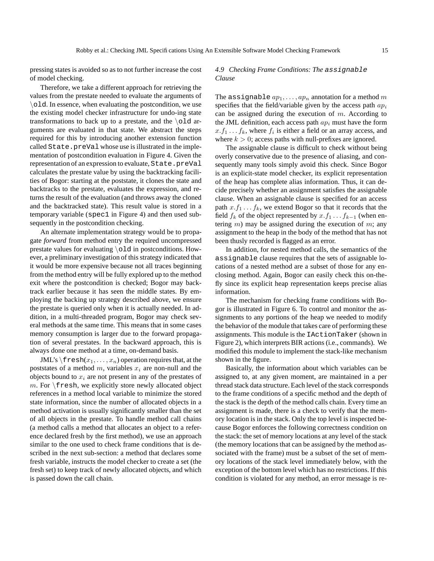pressing states is avoided so as to not further increase the cost of model checking.

Therefore, we take a different approach for retrieving the values from the prestate needed to evaluate the arguments of \old. In essence, when evaluating the postcondition, we use the existing model checker infrastructure for undo-ing state transformations to back up to a prestate, and the  $\cdot$ old arguments are evaluated in that state. We abstract the steps required for this by introducing another extension function called State.preVal whose use is illustrated in the implementation of postcondition evaluation in Figure 4. Given the representation of an expression to evaluate, State.preVal calculates the prestate value by using the backtracking facilities of Bogor: starting at the poststate, it clones the state and backtracks to the prestate, evaluates the expression, and returns the result of the evaluation (and throws away the cloned and the backtracked state). This result value is stored in a temporary variable (spec1 in Figure 4) and then used subsequently in the postcondition checking.

An alternate implementation strategy would be to propagate *forward* from method entry the required uncompressed prestate values for evaluating \old in postconditions. However, a preliminary investigation of this strategy indicated that it would be more expensive because not all traces beginning from the method entry will be fully explored up to the method exit where the postcondition is checked; Bogor may backtrack earlier because it has seen the middle states. By employing the backing up strategy described above, we ensure the prestate is queried only when it is actually needed. In addition, in a multi-threaded program, Bogor may check several methods at the same time. This means that in some cases memory consumption is larger due to the forward propagation of several prestates. In the backward approach, this is always done one method at a time, on-demand basis.

JML's  $\frac{\text{Im} \ln x_1, \ldots, x_n}{\text{Im} \ln x_1, \ldots, x_n}$  operation requires that, at the poststates of a method  $m$ , variables  $x_i$  are non-null and the objects bound to  $x_i$  are not present in any of the prestates of  $m$ . For  $\frac{\text{resh}}{\text{resh}}$ , we explicitly store newly allocated object references in a method local variable to minimize the stored state information, since the number of allocated objects in a method activation is usually significantly smaller than the set of all objects in the prestate. To handle method call chains (a method calls a method that allocates an object to a reference declared fresh by the first method), we use an approach similar to the one used to check frame conditions that is described in the next sub-section: a method that declares some fresh variable, instructs the model checker to create a set (the fresh set) to keep track of newly allocated objects, and which is passed down the call chain.

# *4.9 Checking Frame Conditions: The* assignable *Clause*

The assignable  $ap_1, \ldots, ap_n$  annotation for a method m specifies that the field/variable given by the access path  $ap_i$ can be assigned during the execution of  $m$ . According to the JML definition, each access path  $ap_i$  must have the form  $x.f_1 \tcdot f_k$ , where  $f_i$  is either a field or an array access, and where  $k > 0$ ; access paths with null-prefixes are ignored.

The assignable clause is difficult to check without being overly conservative due to the presence of aliasing, and consequently many tools simply avoid this check. Since Bogor is an explicit-state model checker, its explicit representation of the heap has complete alias information. Thus, it can decide precisely whether an assignment satisfies the assignable clause. When an assignable clause is specified for an access path  $x.f_1 \ldots f_k$ , we extend Bogor so that it records that the field  $f_k$  of the object represented by  $x.f_1 \ldots f_{k-1}$  (when entering  $m$ ) may be assigned during the execution of  $m$ ; any assignment to the heap in the body of the method that has not been thusly recorded is flagged as an error.

In addition, for nested method calls, the semantics of the assignable clause requires that the sets of assignable locations of a nested method are a subset of those for any enclosing method. Again, Bogor can easily check this on-thefly since its explicit heap representation keeps precise alias information.

The mechanism for checking frame conditions with Bogor is illustrated in Figure 6. To control and monitor the assignments to any portions of the heap we needed to modify the behavior of the module that takes care of performing these assignments. This module is the IActionTaker (shown in Figure 2), which interprets BIR actions (i.e., commands). We modified this module to implement the stack-like mechanism shown in the figure.

Basically, the information about which variables can be assigned to, at any given moment, are maintained in a per thread stack data structure. Each level of the stack corresponds to the frame conditions of a specific method and the depth of the stack is the depth of the method calls chain. Every time an assignment is made, there is a check to verify that the memory location is in the stack. Only the top level is inspected because Bogor enforces the following correctness condition on the stack: the set of memory locations at any level of the stack (the memory locations that can be assigned by the method associated with the frame) must be a subset of the set of memory locations of the stack level immediately below, with the exception of the bottom level which has no restrictions. If this condition is violated for any method, an error message is re-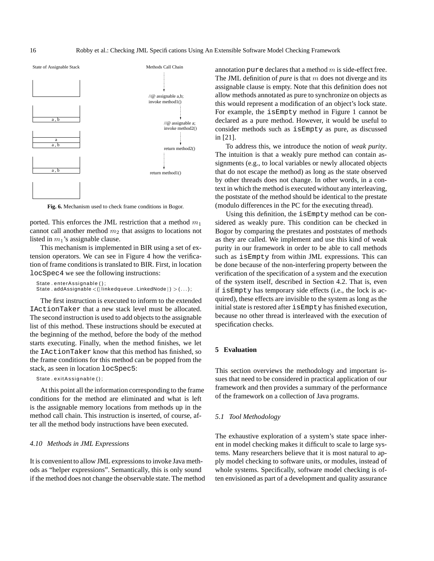

**Fig. 6.** Mechanism used to check frame conditions in Bogor.

ported. This enforces the JML restriction that a method  $m_1$ cannot call another method  $m_2$  that assigns to locations not listed in  $m_1$ 's assignable clause.

This mechanism is implemented in BIR using a set of extension operators. We can see in Figure 4 how the verification of frame conditionsis translated to BIR. First, in location locSpec4 we see the following instructions:

```
State.enterAssignable();
State . addAssignable \lt(| linkedqueue . LinkedNode |) > ( \ldots );
```
The first instruction is executed to inform to the extended IActionTaker that a new stack level must be allocated. The second instruction is used to add objects to the assignable list of this method. These instructions should be executed at the beginning of the method, before the body of the method starts executing. Finally, when the method finishes, we let the IActionTaker know that this method has finished, so the frame conditions for this method can be popped from the stack, as seen in location locSpec5:

State.exitAssignable();

At this point all the information corresponding to the frame conditions for the method are eliminated and what is left is the assignable memory locations from methods up in the method call chain. This instruction is inserted, of course, after all the method body instructions have been executed.

# *4.10 Methods in JML Expressions*

It is convenient to allow JML expressionsto invoke Java methods as "helper expressions". Semantically, this is only sound if the method does not change the observable state. The method annotation pure declares that a method  $m$  is side-effect free. The JML definition of *pure* is that m does not diverge and its assignable clause is empty. Note that this definition does not allow methods annotated as pure to synchronize on objects as this would represent a modification of an object's lock state. For example, the isEmpty method in Figure 1 cannot be declared as a pure method. However, it would be useful to consider methods such as isEmpty as pure, as discussed in [21].

To address this, we introduce the notion of *weak purity*. The intuition is that a weakly pure method can contain assignments (e.g., to local variables or newly allocated objects that do not escape the method) as long as the state observed by other threads does not change. In other words, in a context in which the method is executed without any interleaving, the poststate of the method should be identical to the prestate (modulo differences in the PC for the executing thread).

Using this definition, the isEmpty method can be considered as weakly pure. This condition can be checked in Bogor by comparing the prestates and poststates of methods as they are called. We implement and use this kind of weak purity in our framework in order to be able to call methods such as isEmpty from within JML expressions. This can be done because of the non-interfering property between the verification of the specification of a system and the execution of the system itself, described in Section 4.2. That is, even if isEmpty has temporary side effects (i.e., the lock is acquired), these effects are invisible to the system as long as the initial state is restored after isEmpty has finished execution, because no other thread is interleaved with the execution of specification checks.

# **5 Evaluation**

This section overviews the methodology and important issues that need to be considered in practical application of our framework and then provides a summary of the performance of the framework on a collection of Java programs.

# *5.1 Tool Methodology*

The exhaustive exploration of a system's state space inherent in model checking makes it difficult to scale to large systems. Many researchers believe that it is most natural to apply model checking to software units, or modules, instead of whole systems. Specifically, software model checking is often envisioned as part of a development and quality assurance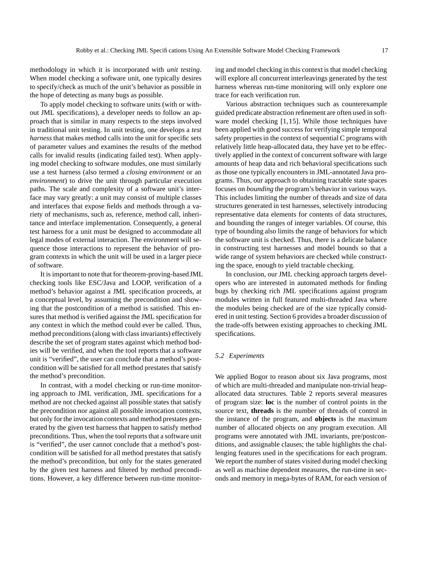methodology in which it is incorporated with *unit testing*. When model checking a software unit, one typically desires to specify/check as much of the unit's behavior as possible in the hope of detecting as many bugs as possible.

To apply model checking to software units (with or without JML specifications), a developer needs to follow an approach that is similar in many respects to the steps involved in traditional unit testing. In unit testing, one develops a *test harness* that makes method calls into the unit for specific sets of parameter values and examines the results of the method calls for invalid results (indicating failed test). When applying model checking to software modules, one must similarly use a test harness (also termed a *closing environment* or an *environment*) to drive the unit through particular execution paths. The scale and complexity of a software unit's interface may vary greatly: a unit may consist of multiple classes and interfaces that expose fields and methods through a variety of mechanisms, such as, reference, method call, inheritance and interface implementation. Consequently, a general test harness for a unit must be designed to accommodate all legal modes of external interaction. The environment will sequence those interactions to represent the behavior of program contexts in which the unit will be used in a larger piece of software.

It is important to note that for theorem-proving-basedJML checking tools like ESC/Java and LOOP, verification of a method's behavior against a JML specification proceeds, at a conceptual level, by assuming the precondition and showing that the postcondition of a method is satisfied. This ensures that method is verified against the JML specification for any context in which the method could ever be called. Thus, method preconditions(along with class invariants) effectively describe the set of program states against which method bodies will be verified, and when the tool reports that a software unit is "verified", the user can conclude that a method's postcondition will be satisfied for all method prestates that satisfy the method's precondition.

In contrast, with a model checking or run-time monitoring approach to JML verification, JML specifications for a method are not checked against all possible states that satisfy the precondition nor against all possible invocation contexts, but only for the invocation contexts and method prestates generated by the given test harness that happen to satisfy method preconditions. Thus, when the tool reports that a software unit is "verified", the user cannot conclude that a method's postcondition will be satisfied for all method prestates that satisfy the method's precondition, but only for the states generated by the given test harness and filtered by method preconditions. However, a key difference between run-time monitoring and model checking in this context is that model checking will explore all concurrent interleavings generated by the test harness whereas run-time monitoring will only explore one trace for each verification run.

Various abstraction techniques such as counterexample guided predicate abstraction refinement are often used in software model checking [1,15]. While those techniques have been applied with good success for verifying simple temporal safety properties in the context of sequential C programs with relatively little heap-allocated data, they have yet to be effectively applied in the context of concurrent software with large amounts of heap data and rich behavioral specifications such as those one typically encounters in JML-annotated Java programs. Thus, our approach to obtaining tractable state spaces focuses on *bounding* the program's behavior in various ways. This includes limiting the number of threads and size of data structures generated in test harnesses, selectively introducing representative data elements for contents of data structures, and bounding the ranges of integer variables. Of course, this type of bounding also limits the range of behaviors for which the software unit is checked. Thus, there is a delicate balance in constructing test harnesses and model bounds so that a wide range of system behaviors are checked while constructing the space, enough to yield tractable checking.

In conclusion, our JML checking approach targets developers who are interested in automated methods for finding bugs by checking rich JML specifications against program modules written in full featured multi-threaded Java where the modules being checked are of the size typically considered in unit testing. Section 6 provides a broader discussion of the trade-offs between existing approaches to checking JML specifications.

#### *5.2 Experiments*

We applied Bogor to reason about six Java programs, most of which are multi-threaded and manipulate non-trivial heapallocated data structures. Table 2 reports several measures of program size: **loc** is the number of control points in the source text, **threads** is the number of threads of control in the instance of the program, and **objects** is the maximum number of allocated objects on any program execution. All programs were annotated with JML invariants, pre/postconditions, and assignable clauses; the table highlights the challenging features used in the specifications for each program. We report the number of states visited during model checking as well as machine dependent measures, the run-time in seconds and memory in mega-bytes of RAM, for each version of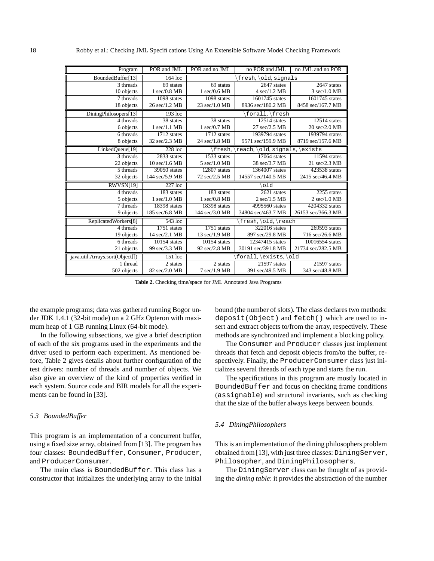| ſ<br>Program                    | POR and JML                     | POR and no JML                               | no POR and JML                 | no JML and no POR              |
|---------------------------------|---------------------------------|----------------------------------------------|--------------------------------|--------------------------------|
| BoundedBuffer[13]               | $164$ loc                       | fresh,<br>old, signals                       |                                |                                |
| 3 threads                       | 69 states                       | 69 states                                    | 2647 states                    | 2647 states                    |
| 10 objects                      | $1$ sec/0.8 MB                  | 1 sec/0.6 MB                                 | $4 \text{ sec}/1.2 \text{ MB}$ | $3 \text{ sec}/1.0 \text{ MB}$ |
| 7 threads                       | 1098 states                     | $\overline{1098}$ states                     | 1601745 states                 | 1601745 states                 |
| 18 objects                      | 26 sec/1.2 MB                   | $23 \text{ sec}/1.0 \text{ MB}$              | 8936 sec/180.2 MB              | 8458 sec/167.7 MB              |
| DiningPhilosopers[13]           | $193$ loc                       | forall, \fresh)                              |                                |                                |
| 4 threads                       | 38 states                       | $\overline{38}$ states                       | $12514$ states                 | $12514$ states                 |
| 6 objects                       | $1$ sec/ $1.1$ MB               | 1 sec/0.7 MB                                 | 27 sec/2.5 MB                  | 20 sec/2.0 MB                  |
| 6 threads                       | 1712 states                     | $1712$ states                                | 1939794 states                 | 1939794 states                 |
| 8 objects                       | 32 sec/2.3 MB                   | 24 sec/1.8 MB                                | 9571 sec/159.9 MB              | 8719 sec/157.6 MB              |
| LinkedQueue[19]                 | 228 loc                         | \old, signals,<br>fresh.<br>reach,<br>exists |                                |                                |
| 3 threads                       | 2833 states                     | $1533$ states                                | $17064$ states                 | 11594 states                   |
| 22 objects                      | $10 \text{ sec}/1.6 \text{ MB}$ | $5 \text{ sec}/1.0 \text{ MB}$               | 38 sec/3.7 MB                  | 21 sec/2.3 MB                  |
| 5 threads                       | 39050 states                    | 12807 states                                 | 1364007 states                 | 423538 states                  |
| 32 objects                      | 144 sec/5.9 MB                  | 72 sec/2.5 MB                                | 14557 sec/140.5 MB             | 2415 sec/46.4 MB               |
| RWVSN[19]                       | $227$ loc                       | old                                          |                                |                                |
| 4 threads                       | $183$ states                    | $183$ states                                 | 2621 states                    | 2255 states                    |
| 5 objects                       | $1 \text{ sec}/1.0 \text{ MB}$  | $1$ sec/ $0.8$ MB                            | $2 \text{ sec}/1.5 \text{ MB}$ | $2 \text{ sec}/1.0 \text{ MB}$ |
| 7 threads                       | 18398 states                    | $18398$ states                               | 4995560 states                 | 4204332 states                 |
| 9 objects                       | 185 sec/6.8 MB                  | 144 sec/3.0 MB                               | 34804 sec/463.7 MB             | 26153 sec/366.3 MB             |
| ReplicatedWorkers[8]            | 543 loc                         | fresh, \old, \reach\                         |                                |                                |
| 4 threads                       | $1751$ states                   | 1751 states                                  | 322016 states                  | 269593 states                  |
| 19 objects                      | 14 sec/2.1 MB                   | 13 sec/1.9 MB                                | 897 sec/29.8 MB                | 716 sec/26.6 MB                |
| 6 threads                       | $10154$ states                  | $10154$ states                               | 12347415 states                | 10016554 states                |
| 21 objects                      | 99 sec/3.3 MB                   | 92 sec/2.8 MB                                | 30191 sec/391.8 MB             | 21734 sec/282.5 MB             |
| java.util.Arrays.sort(Object[]) | $151$ loc                       | $\delta$<br>forall.<br>exists.               |                                |                                |
| 1 thread                        | $\overline{2}$ states           | 2 states                                     | $21597$ states                 | 21597 states                   |
| 502 objects                     | 82 sec/2.0 MB                   | 7 sec/1.9 MB                                 | 391 sec/49.5 MB                | 343 sec/48.8 MB                |

18 Robby et al.: Checking JML Specifications Using An Extensible Software Model Checking Framework

**Table 2.** Checking time/space for JML Annotated Java Programs

the example programs; data was gathered running Bogor under JDK 1.4.1 (32-bit mode) on a 2 GHz Opteron with maximum heap of 1 GB running Linux (64-bit mode).

In the following subsections, we give a brief description of each of the six programs used in the experiments and the driver used to perform each experiment. As mentioned before, Table 2 gives details about further configuration of the test drivers: number of threads and number of objects. We also give an overview of the kind of properties verified in each system. Source code and BIR models for all the experiments can be found in [33].

# *5.3 BoundedBuffer*

This program is an implementation of a concurrent buffer, using a fixed size array, obtained from [13]. The program has four classes: BoundedBuffer, Consumer, Producer, and ProducerConsumer.

The main class is BoundedBuffer. This class has a constructor that initializes the underlying array to the initial bound (the number of slots). The class declares two methods: deposit(Object) and fetch() which are used to insert and extract objects to/from the array, respectively. These methods are synchronized and implement a blocking policy.

The Consumer and Producer classes just implement threads that fetch and deposit objects from/to the buffer, respectively. Finally, the ProducerConsumer class just initializes several threads of each type and starts the run.

The specifications in this program are mostly located in BoundedBuffer and focus on checking frame conditions (assignable) and structural invariants, such as checking that the size of the buffer always keeps between bounds.

# *5.4 DiningPhilosophers*

This is an implementation of the dining philosophers problem obtained from [13], with just three classes: DiningServer, Philosopher, and DiningPhilosophers.

The DiningServer class can be thought of as providing the *dining table*: it provides the abstraction of the number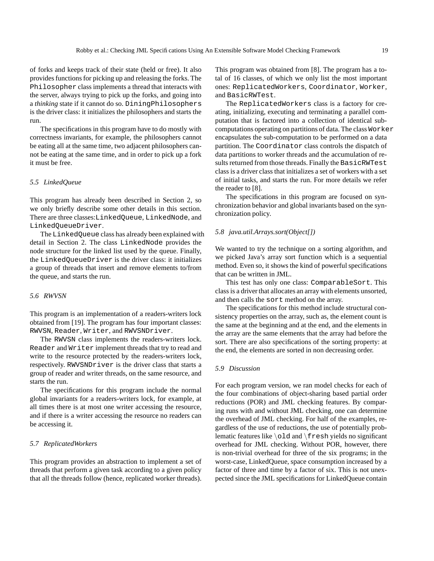of forks and keeps track of their state (held or free). It also provides functions for picking up and releasing the forks. The Philosopher class implements a thread that interacts with the server, always trying to pick up the forks, and going into a *thinking* state if it cannot do so. DiningPhilosophers is the driver class: it initializes the philosophers and starts the run.

The specifications in this program have to do mostly with correctness invariants, for example, the philosophers cannot be eating all at the same time, two adjacent philosophers cannot be eating at the same time, and in order to pick up a fork it must be free.

#### *5.5 LinkedQueue*

This program has already been described in Section 2, so we only briefly describe some other details in this section. There are three classes:LinkedQueue, LinkedNode, and LinkedQueueDriver.

The LinkedQueue class has already been explained with detail in Section 2. The class LinkedNode provides the node structure for the linked list used by the queue. Finally, the LinkedQueueDriver is the driver class: it initializes a group of threads that insert and remove elements to/from the queue, and starts the run.

# *5.6 RWVSN*

This program is an implementation of a readers-writers lock obtained from [19]. The program has four important classes: RWVSN, Reader, Writer, and RWVSNDriver.

The RWVSN class implements the readers-writers lock. Reader and Writer implement threads that try to read and write to the resource protected by the readers-writers lock, respectively. RWVSNDriver is the driver class that starts a group of reader and writer threads, on the same resource, and starts the run.

The specifications for this program include the normal global invariants for a readers-writers lock, for example, at all times there is at most one writer accessing the resource, and if there is a writer accessing the resource no readers can be accessing it.

# *5.7 ReplicatedWorkers*

This program provides an abstraction to implement a set of threads that perform a given task according to a given policy that all the threads follow (hence, replicated worker threads). This program was obtained from [8]. The program has a total of 16 classes, of which we only list the most important ones: ReplicatedWorkers, Coordinator, Worker, and BasicRWTest.

The ReplicatedWorkers class is a factory for creating, initializing, executing and terminating a parallel computation that is factored into a collection of identical subcomputations operating on partitions of data. The class Worker encapsulates the sub-computation to be performed on a data partition. The Coordinator class controls the dispatch of data partitions to worker threads and the accumulation of results returned from those threads. Finally the BasicRWTest class is a driver class that initializes a set of workers with a set of initial tasks, and starts the run. For more details we refer the reader to [8].

The specifications in this program are focused on synchronization behavior and global invariants based on the synchronization policy.

#### *5.8 java.util.Arrays.sort(Object[])*

We wanted to try the technique on a sorting algorithm, and we picked Java's array sort function which is a sequential method. Even so, it shows the kind of powerful specifications that can be written in JML.

This test has only one class: ComparableSort. This class is a driver that allocates an array with elements unsorted, and then calls the sort method on the array.

The specifications for this method include structural consistency properties on the array, such as, the element count is the same at the beginning and at the end, and the elements in the array are the same elements that the array had before the sort. There are also specifications of the sorting property: at the end, the elements are sorted in non decreasing order.

# *5.9 Discussion*

For each program version, we ran model checks for each of the four combinations of object-sharing based partial order reductions (POR) and JML checking features. By comparing runs with and without JML checking, one can determine the overhead of JML checking. For half of the examples, regardless of the use of reductions, the use of potentially problematic features like \old and \fresh yields no significant overhead for JML checking. Without POR, however, there is non-trivial overhead for three of the six programs; in the worst-case, LinkedQueue, space consumption increased by a factor of three and time by a factor of six. This is not unexpected since the JML specifications for LinkedQueue contain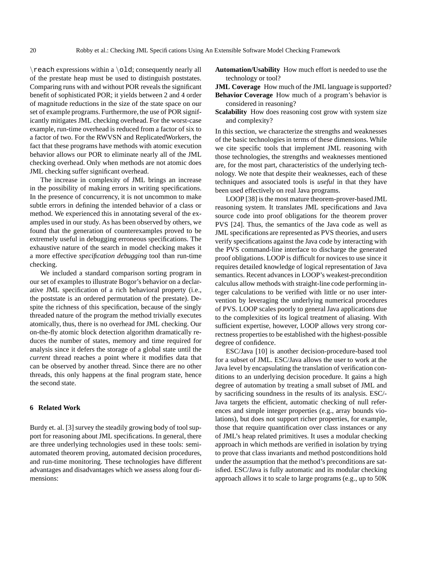\reach expressions within a \old; consequently nearly all of the prestate heap must be used to distinguish poststates. Comparing runs with and without POR reveals the significant benefit of sophisticated POR; it yields between 2 and 4 order of magnitude reductions in the size of the state space on our set of example programs. Furthermore, the use of POR significantly mitigates JML checking overhead. For the worst-case example, run-time overhead is reduced from a factor of six to a factor of two. For the RWVSN and ReplicatedWorkers, the fact that these programs have methods with atomic execution behavior allows our POR to eliminate nearly all of the JML checking overhead. Only when methods are not atomic does JML checking suffer significant overhead.

The increase in complexity of JML brings an increase in the possibility of making errors in writing specifications. In the presence of concurrency, it is not uncommon to make subtle errors in defining the intended behavior of a class or method. We experienced this in annotating several of the examples used in our study. As has been observed by others, we found that the generation of counterexamples proved to be extremely useful in debugging erroneous specifications. The exhaustive nature of the search in model checking makes it a more effective *specification debugging* tool than run-time checking.

We included a standard comparison sorting program in our set of examples to illustrate Bogor's behavior on a declarative JML specification of a rich behavioral property (i.e., the poststate is an ordered permutation of the prestate). Despite the richness of this specification, because of the singly threaded nature of the program the method trivially executes atomically, thus, there is no overhead for JML checking. Our on-the-fly atomic block detection algorithm dramatically reduces the number of states, memory and time required for analysis since it defers the storage of a global state until the *current* thread reaches a point where it modifies data that can be observed by another thread. Since there are no other threads, this only happens at the final program state, hence the second state.

# **6 Related Work**

Burdy et. al. [3] survey the steadily growing body of tool support for reasoning about JML specifications. In general, there are three underlying technologies used in these tools: semiautomated theorem proving, automated decision procedures, and run-time monitoring. These technologies have different advantages and disadvantages which we assess along four dimensions:

- **Automation/Usability** How much effort is needed to use the technology or tool?
- **JML Coverage** How much of the JML language is supported?
- **Behavior Coverage** How much of a program's behavior is considered in reasoning?
- **Scalability** How does reasoning cost grow with system size and complexity?

In this section, we characterize the strengths and weaknesses of the basic technologies in terms of these dimensions. While we cite specific tools that implement JML reasoning with those technologies, the strengths and weaknesses mentioned are, for the most part, characteristics of the underlying technology. We note that despite their weaknesses, each of these techniques and associated tools is *useful* in that they have been used effectively on real Java programs.

LOOP [38] is the most mature theorem-prover-based JML reasoning system. It translates JML specifications and Java source code into proof obligations for the theorem prover PVS [24]. Thus, the semantics of the Java code as well as JML specifications are represented as PVS theories, and users verify specifications against the Java code by interacting with the PVS command-line interface to discharge the generated proof obligations. LOOP is difficult for novices to use since it requires detailed knowledge of logical representation of Java semantics. Recent advances in LOOP's weakest-precondition calculus allow methods with straight-line code performing integer calculations to be verified with little or no user intervention by leveraging the underlying numerical procedures of PVS. LOOP scales poorly to general Java applications due to the complexities of its logical treatment of aliasing. With sufficient expertise, however, LOOP allows very strong correctness propertiesto be established with the highest-possible degree of confidence.

ESC/Java [10] is another decision-procedure-based tool for a subset of JML. ESC/Java allows the user to work at the Java level by encapsulating the translation of verification conditions to an underlying decision procedure. It gains a high degree of automation by treating a small subset of JML and by sacrificing soundness in the results of its analysis. ESC/- Java targets the efficient, automatic checking of null references and simple integer properties (e.g., array bounds violations), but does not support richer properties, for example, those that require quantification over class instances or any of JML's heap related primitives. It uses a modular checking approach in which methods are verified in isolation by trying to prove that class invariants and method postconditions hold under the assumption that the method's preconditions are satisfied. ESC/Java is fully automatic and its modular checking approach allows it to scale to large programs (e.g., up to 50K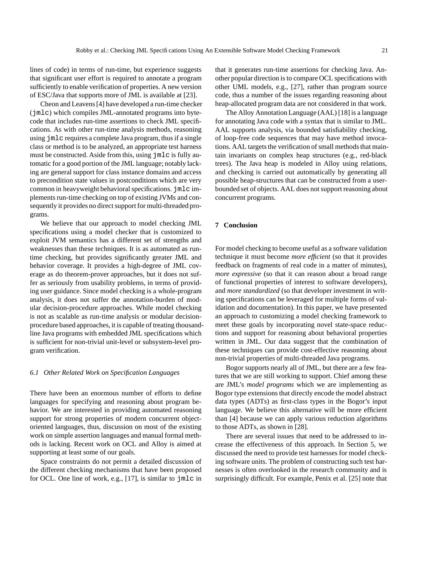lines of code) in terms of run-time, but experience suggests that significant user effort is required to annotate a program sufficiently to enable verification of properties. A new version of ESC/Java that supports more of JML is available at [23].

Cheon and Leavens[4] have developed a run-time checker (jmlc) which compiles JML-annotated programs into bytecode that includes run-time assertions to check JML specifications. As with other run-time analysis methods, reasoning using  $\exists$ mlc requires a complete Java program, thus if a single class or method is to be analyzed, an appropriate test harness must be constructed. Aside from this, using jmlc is fully automatic for a good portion of the JML language; notably lacking are general support for class instance domains and access to precondition state values in postconditions which are very common in heavyweight behavioral specifications. jmlc implements run-time checking on top of existing JVMs and consequently it provides no direct support for multi-threaded programs.

We believe that our approach to model checking JML specifications using a model checker that is customized to exploit JVM semantics has a different set of strengths and weaknesses than these techniques. It is as automated as runtime checking, but provides significantly greater JML and behavior coverage. It provides a high-degree of JML coverage as do theorem-prover approaches, but it does not suffer as seriously from usability problems, in terms of providing user guidance. Since model checking is a whole-program analysis, it does not suffer the annotation-burden of modular decision-procedure approaches. While model checking is not as scalable as run-time analysis or modular decisionprocedure based approaches, it is capable of treating thousandline Java programs with embedded JML specifications which is sufficient for non-trivial unit-level or subsystem-level program verification.

# *6.1 Other Related Work on Specification Languages*

There have been an enormous number of efforts to define languages for specifying and reasoning about program behavior. We are interested in providing automated reasoning support for strong properties of modern concurrent objectoriented languages, thus, discussion on most of the existing work on simple assertion languages and manual formal methods is lacking. Recent work on OCL and Alloy is aimed at supporting at least some of our goals.

Space constraints do not permit a detailed discussion of the different checking mechanisms that have been proposed for OCL. One line of work, e.g., [17], is similar to jmlc in

that it generates run-time assertions for checking Java. Another popular direction is to compare OCL specifications with other UML models, e.g., [27], rather than program source code, thus a number of the issues regarding reasoning about heap-allocated program data are not considered in that work.

The Alloy Annotation Language (AAL) [18] is a language for annotating Java code with a syntax that is similar to JML. AAL supports analysis, via bounded satisfiability checking, of loop-free code sequences that may have method invocations. AAL targets the verification of small methods that maintain invariants on complex heap structures (e.g., red-black trees). The Java heap is modeled in Alloy using relations, and checking is carried out automatically by generating all possible heap-structures that can be constructed from a userbounded set of objects. AAL does notsupport reasoning about concurrent programs.

# **7 Conclusion**

For model checking to become useful as a software validation technique it must become *more efficient* (so that it provides feedback on fragments of real code in a matter of minutes), *more expressive* (so that it can reason about a broad range of functional properties of interest to software developers), and *more standardized* (so that developer investment in writing specifications can be leveraged for multiple forms of validation and documentation). In this paper, we have presented an approach to customizing a model checking framework to meet these goals by incorporating novel state-space reductions and support for reasoning about behavioral properties written in JML. Our data suggest that the combination of these techniques can provide cost-effective reasoning about non-trivial properties of multi-threaded Java programs.

Bogor supports nearly all of JML, but there are a few features that we are still working to support. Chief among these are JML's *model programs* which we are implementing as Bogor type extensions that directly encode the model abstract data types (ADTs) as first-class types in the Bogor's input language. We believe this alternative will be more efficient than [4] because we can apply various reduction algorithms to those ADTs, as shown in [28].

There are several issues that need to be addressed to increase the effectiveness of this approach. In Section 5, we discussed the need to provide test harnesses for model checking software units. The problem of constructing such test harnesses is often overlooked in the research community and is surprisingly difficult. For example, Penix et al. [25] note that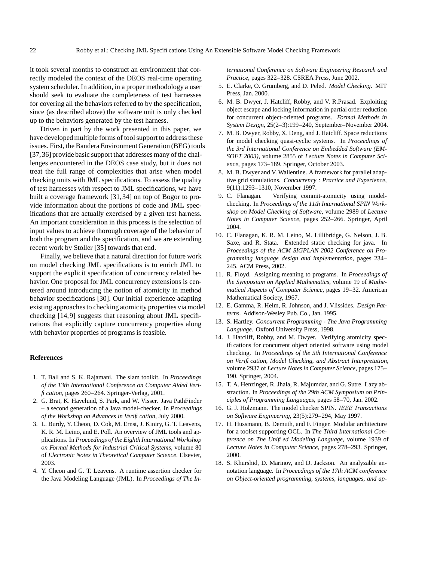it took several months to construct an environment that correctly modeled the context of the DEOS real-time operating system scheduler. In addition, in a proper methodology a user should seek to evaluate the completeness of test harnesses for covering all the behaviors referred to by the specification, since (as described above) the software unit is only checked up to the behaviors generated by the test harness.

Driven in part by the work presented in this paper, we have developed multiple forms of tool support to address these issues. First, the Bandera Environment Generation (BEG) tools [37,36] provide basic support that addresses many of the challenges encountered in the DEOS case study, but it does not treat the full range of complexities that arise when model checking units with JML specifications. To assess the quality of test harnesses with respect to JML specifications, we have built a coverage framework [31,34] on top of Bogor to provide information about the portions of code and JML specifications that are actually exercised by a given test harness. An important consideration in this process is the selection of input values to achieve thorough coverage of the behavior of both the program and the specification, and we are extending recent work by Stoller [35] towards that end.

Finally, we believe that a natural direction for future work on model checking JML specifications is to enrich JML to support the explicit specification of concurrency related behavior. One proposal for JML concurrency extensions is centered around introducing the notion of atomicity in method behavior specifications [30]. Our initial experience adapting existing approaches to checking atomicity properties via model checking [14,9] suggests that reasoning about JML specifications that explicitly capture concurrency properties along with behavior properties of programs is feasible.

# **References**

- 1. T. Ball and S. K. Rajamani. The slam toolkit. In *Proceedings of the 13th International Conference on Computer Aided Verification*, pages 260–264. Springer-Verlag, 2001.
- 2. G. Brat, K. Havelund, S. Park, and W. Visser. Java PathFinder – a second generation of a Java model-checker. In *Proceedings of the Workshop on Advances in Verification*, July 2000.
- 3. L. Burdy, Y. Cheon, D. Cok, M. Ernst, J. Kiniry, G. T. Leavens, K. R. M. Leino, and E. Poll. An overview of JML tools and applications. In *Proceedings of the Eighth International Workshop on Formal Methods for Industrial Critical Systems*, volume 80 of *Electronic Notes in Theoretical Computer Science*. Elsevier, 2003.
- 4. Y. Cheon and G. T. Leavens. A runtime assertion checker for the Java Modeling Language (JML). In *Proceedings of The In-*

*ternational Conference on Software Engineering Research and Practice*, pages 322–328. CSREA Press, June 2002.

- 5. E. Clarke, O. Grumberg, and D. Peled. *Model Checking*. MIT Press, Jan. 2000.
- 6. M. B. Dwyer, J. Hatcliff, Robby, and V. R.Prasad. Exploiting object escape and locking information in partial order reduction for concurrent object-oriented programs. *Formal Methods in System Design*, 25(2–3):199–240, September–November 2004.
- 7. M. B. Dwyer, Robby, X. Deng, and J. Hatcliff. Space reductions for model checking quasi-cyclic systems. In *Proceedings of the 3rd International Conference on Embedded Software (EM-SOFT 2003)*, volume 2855 of *Lecture Notes in Computer Science*, pages 173–189. Springer, October 2003.
- 8. M. B. Dwyer and V. Wallentine. A framework for parallel adaptive grid simulations. *Concurrency : Practice and Experience*, 9(11):1293–1310, November 1997.
- 9. C. Flanagan. Verifying commit-atomicity using modelchecking. In *Proceedings of the 11th International SPIN Workshop on Model Checking of Software*, volume 2989 of *Lecture Notes in Computer Science*, pages 252–266. Springer, April 2004.
- 10. C. Flanagan, K. R. M. Leino, M. Lillibridge, G. Nelson, J. B. Saxe, and R. Stata. Extended static checking for java. In *Proceedings of the ACM SIGPLAN 2002 Conference on Programming language design and implementation*, pages 234– 245. ACM Press, 2002.
- 11. R. Floyd. Assigning meaning to programs. In *Proceedings of the Symposium on Applied Mathematics*, volume 19 of *Mathematical Aspects of Computer Science*, pages 19–32. American Mathematical Society, 1967.
- 12. E. Gamma, R. Helm, R. Johnson, and J. Vlissides. *Design Patterns*. Addison-Wesley Pub. Co., Jan. 1995.
- 13. S. Hartley. *Concurrent Programming - The Java Programming Language*. Oxford University Press, 1998.
- 14. J. Hatcliff, Robby, and M. Dwyer. Verifying atomicity specifications for concurrent object oriented software using model checking. In *Proceedings of the 5th International Conference on Verification, Model Checking, and Abstract Interpretation*, volume 2937 of *Lecture Notes in Computer Science*, pages 175– 190. Springer, 2004.
- 15. T. A. Henzinger, R. Jhala, R. Majumdar, and G. Sutre. Lazy abstraction. In *Proceedings of the 29th ACM Symposium on Principles of Programming Languages*, pages 58–70, Jan. 2002.
- 16. G. J. Holzmann. The model checker SPIN. *IEEE Transactions on Software Engineering*, 23(5):279–294, May 1997.
- 17. H. Hussmann, B. Demuth, and F. Finger. Modular architecture for a toolset supporting OCL. In *The Third International Conference on The Unified Modeling Language*, volume 1939 of *Lecture Notes in Computer Science*, pages 278–293. Springer, 2000.
- 18. S. Khurshid, D. Marinov, and D. Jackson. An analyzable annotation language. In *Proceedings of the 17th ACM conference on Object-oriented programming, systems, languages, and ap-*